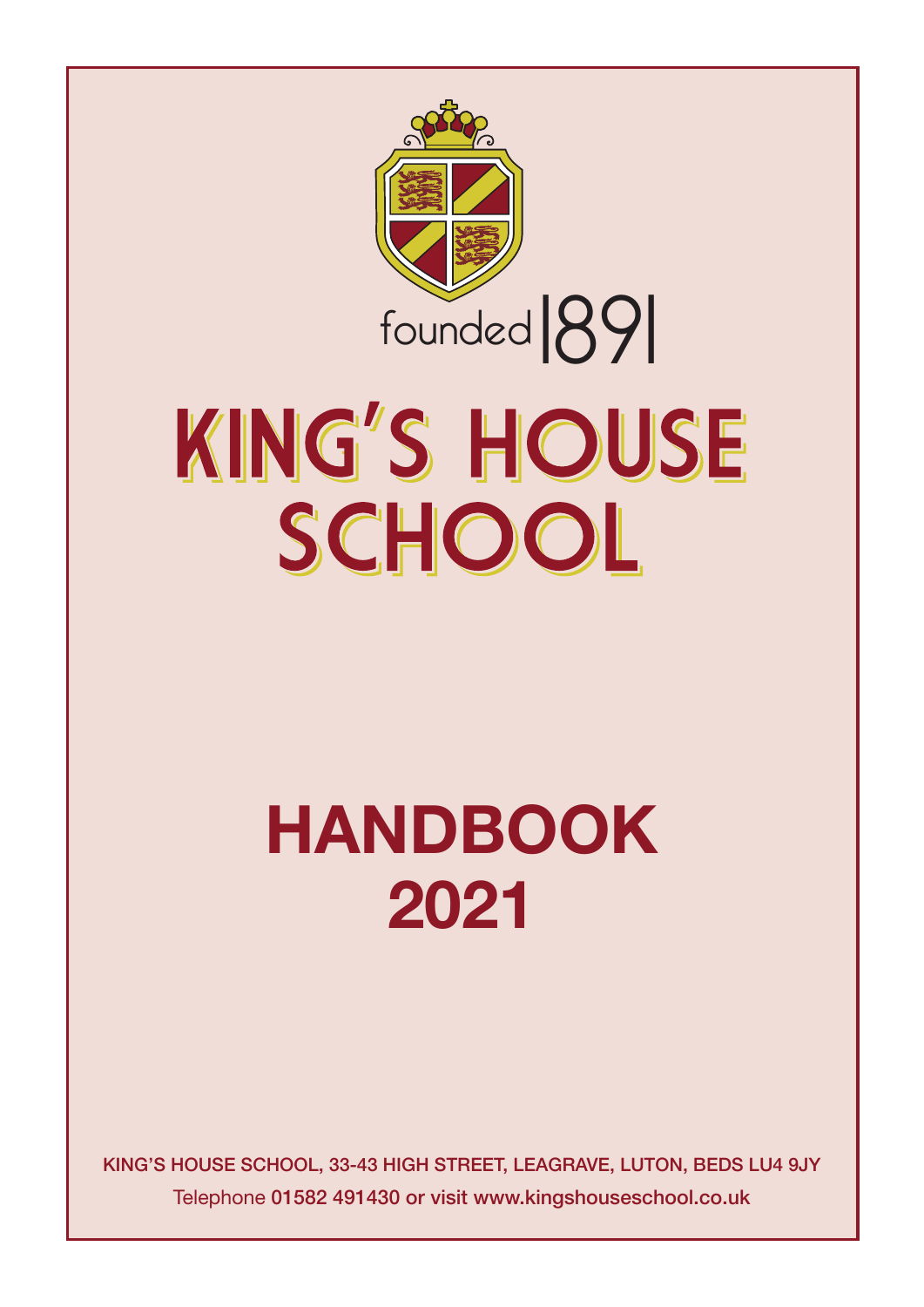

# KING'S HOUSE SCHOOL

## **Handbook 2021**

**King's House scHool, 33-43 HigH street, leagrave, luton, Beds lu4 9JY** Telephone **01582 491430 or visit www.kingshouseschool.co.uk**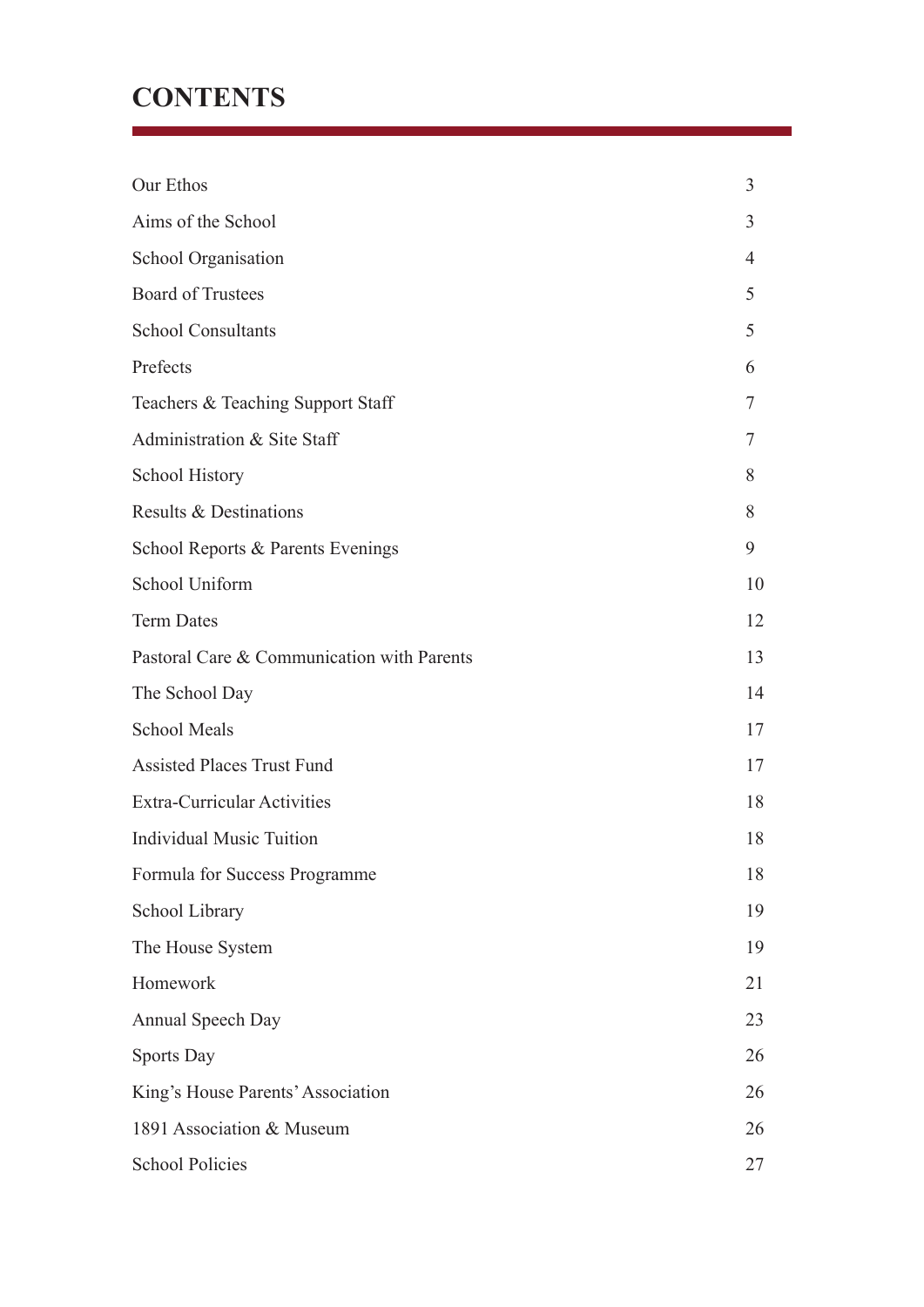## **CONTENTS**

| Our Ethos                                  | $\overline{3}$ |
|--------------------------------------------|----------------|
| Aims of the School                         | 3              |
| <b>School Organisation</b>                 | 4              |
| <b>Board of Trustees</b>                   | 5              |
| <b>School Consultants</b>                  | 5              |
| Prefects                                   | 6              |
| Teachers & Teaching Support Staff          | 7              |
| Administration & Site Staff                | 7              |
| <b>School History</b>                      | 8              |
| Results & Destinations                     | 8              |
| School Reports & Parents Evenings          | 9              |
| School Uniform                             | 10             |
| <b>Term Dates</b>                          | 12             |
| Pastoral Care & Communication with Parents | 13             |
| The School Day                             | 14             |
| <b>School Meals</b>                        | 17             |
| <b>Assisted Places Trust Fund</b>          | 17             |
| <b>Extra-Curricular Activities</b>         | 18             |
| <b>Individual Music Tuition</b>            | 18             |
| Formula for Success Programme              | 18             |
| School Library                             | 19             |
| The House System                           | 19             |
| Homework                                   | 21             |
| <b>Annual Speech Day</b>                   | 23             |
| <b>Sports Day</b>                          | 26             |
| King's House Parents' Association          | 26             |
| 1891 Association & Museum                  | 26             |
| <b>School Policies</b>                     | 27             |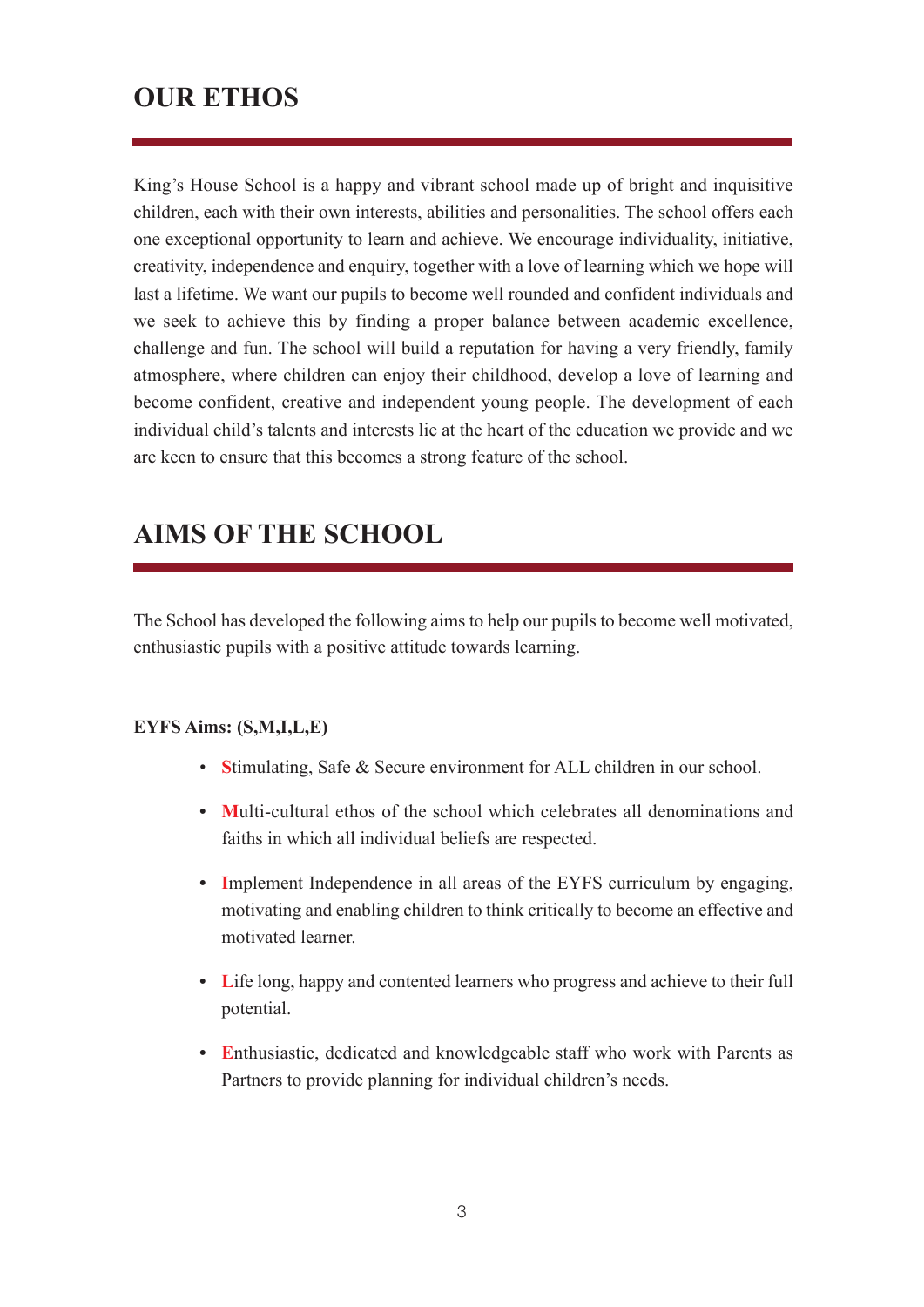## **OUR ETHOS**

King's House School is a happy and vibrant school made up of bright and inquisitive children, each with their own interests, abilities and personalities. The school offers each one exceptional opportunity to learn and achieve. We encourage individuality, initiative, creativity, independence and enquiry, together with a love of learning which we hope will last a lifetime. We want our pupils to become well rounded and confident individuals and we seek to achieve this by finding a proper balance between academic excellence, challenge and fun. The school will build a reputation for having a very friendly, family atmosphere, where children can enjoy their childhood, develop a love of learning and become confident, creative and independent young people. The development of each individual child's talents and interests lie at the heart of the education we provide and we are keen to ensure that this becomes a strong feature of the school.

## **AIMS OF THE SCHOOL**

The School has developed the following aims to help our pupils to become well motivated, enthusiastic pupils with a positive attitude towards learning.

#### **EYFS Aims: (S,M,I,L,E)**

- **S**timulating, Safe & Secure environment for ALL children in our school.
- **• M**ulti-cultural ethos of the school which celebrates all denominations and faiths in which all individual beliefs are respected.
- **• I**mplement Independence in all areas of the EYFS curriculum by engaging, motivating and enabling children to think critically to become an effective and motivated learner.
- **• L**ife long, happy and contented learners who progress and achieve to their full potential.
- **• E**nthusiastic, dedicated and knowledgeable staff who work with Parents as Partners to provide planning for individual children's needs.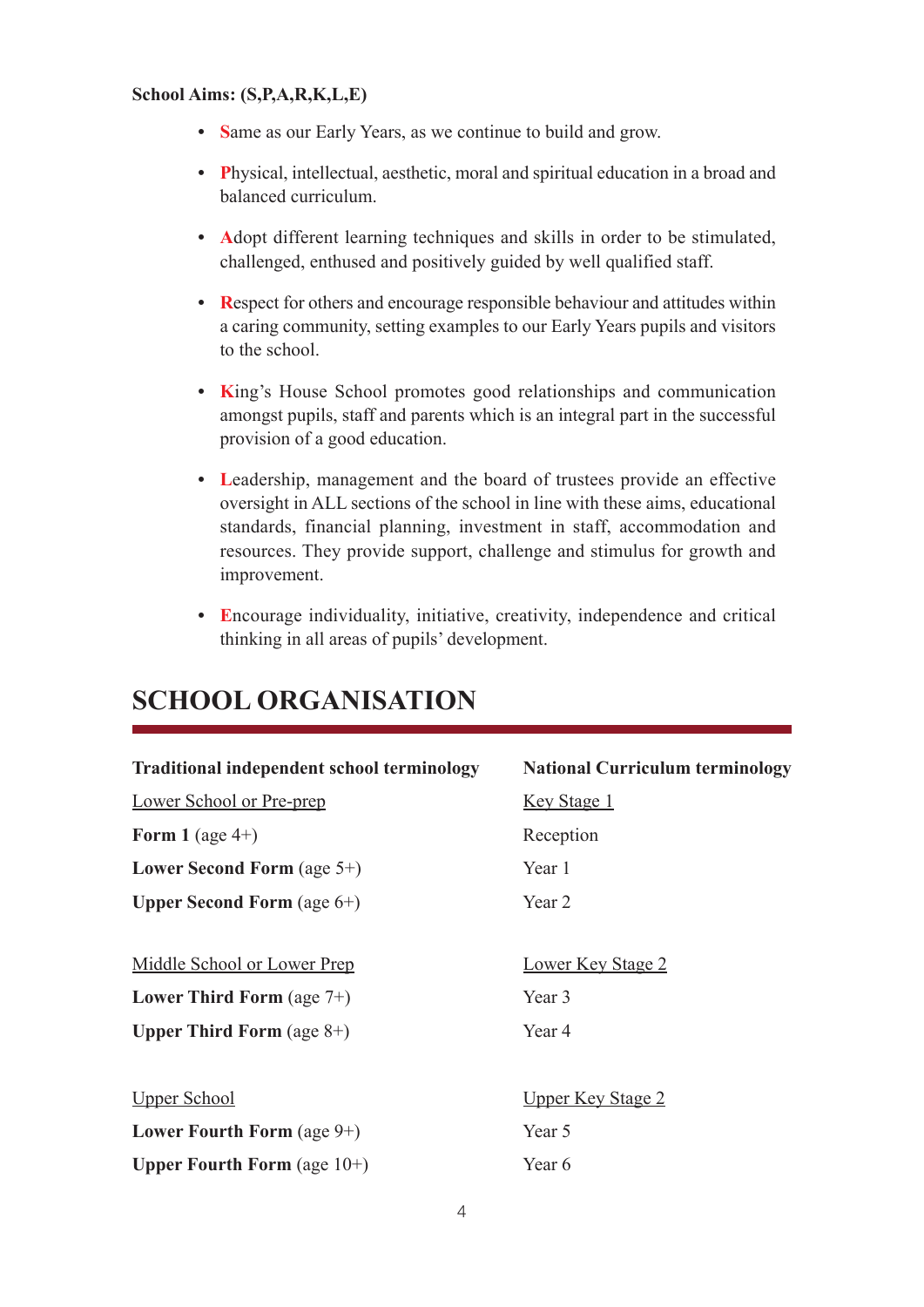#### **School Aims: (S,P,A,R,K,L,E)**

- Same as our Early Years, as we continue to build and grow.
- **• P**hysical, intellectual, aesthetic, moral and spiritual education in a broad and balanced curriculum.
- **• A**dopt different learning techniques and skills in order to be stimulated, challenged, enthused and positively guided by well qualified staff.
- **• R**espect for others and encourage responsible behaviour and attitudes within a caring community, setting examples to our Early Years pupils and visitors to the school.
- **• K**ing's House School promotes good relationships and communication amongst pupils, staff and parents which is an integral part in the successful provision of a good education.
- **• L**eadership, management and the board of trustees provide an effective oversight in ALL sections of the school in line with these aims, educational standards, financial planning, investment in staff, accommodation and resources. They provide support, challenge and stimulus for growth and improvement.
- **• E**ncourage individuality, initiative, creativity, independence and critical thinking in all areas of pupils' development.

| <b>Traditional independent school terminology</b> | <b>National Curriculum terminology</b> |
|---------------------------------------------------|----------------------------------------|
| <b>Lower School or Pre-prep</b>                   | <u>Key Stage 1</u>                     |
| Form 1 (age $4+$ )                                | Reception                              |
| Lower Second Form (age $5+$ )                     | Year 1                                 |
| <b>Upper Second Form</b> (age $6+$ )              | Year 2                                 |
|                                                   |                                        |
| Middle School or Lower Prep                       | <b>Lower Key Stage 2</b>               |
| Lower Third Form (age $7+$ )                      | Year 3                                 |
| <b>Upper Third Form</b> (age $8+$ )               | Year 4                                 |
|                                                   |                                        |
| <b>Upper School</b>                               | <u>Upper Key Stage 2</u>               |
| Lower Fourth Form (age $9+$ )                     | Year 5                                 |
| <b>Upper Fourth Form</b> (age $10+$ )             | Year 6                                 |

## **SCHOOL ORGANISATION**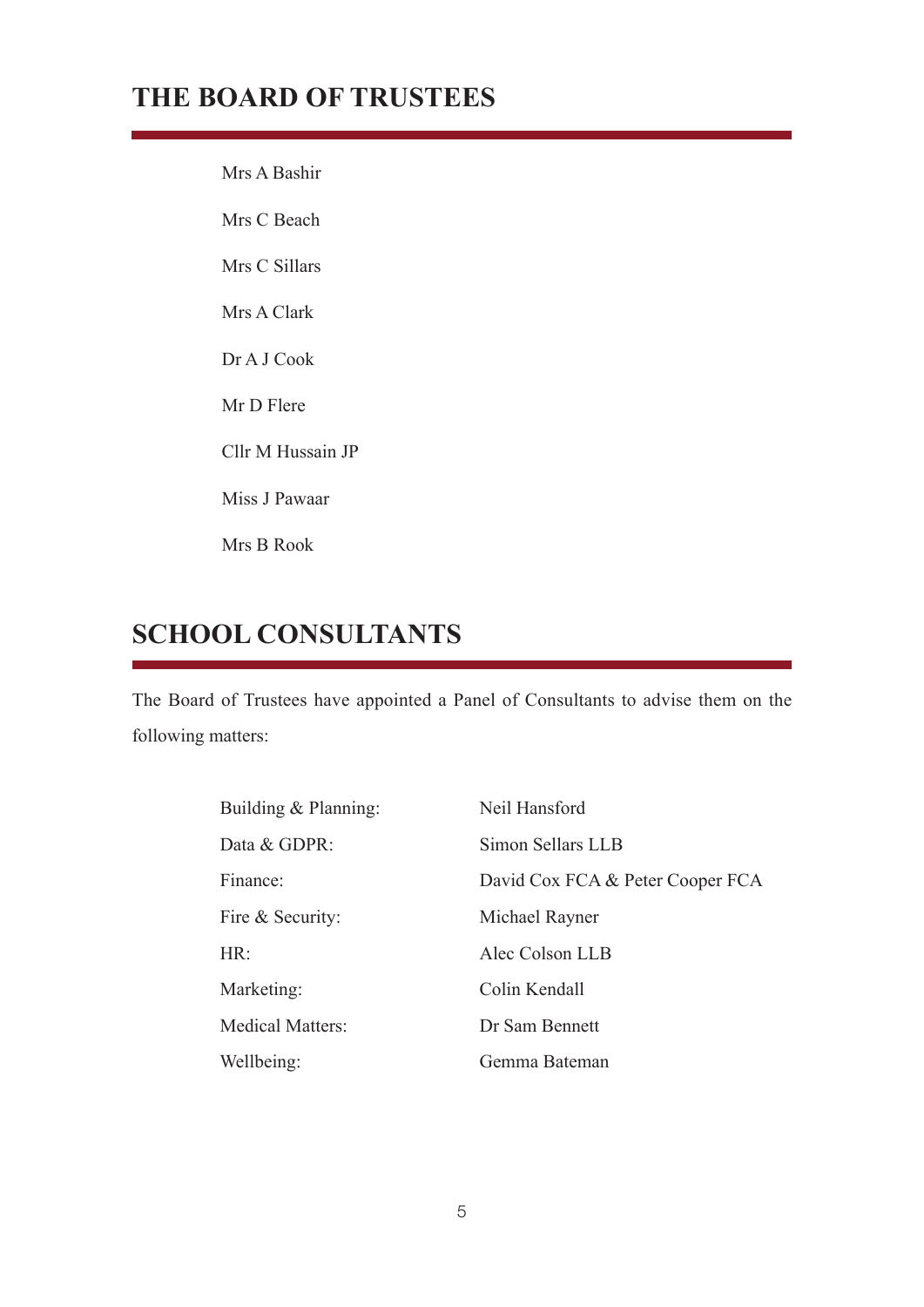## **THE BOARD OF TRUSTEES**

Mrs A Bashir Mrs C Beach Mrs C Sillars Mrs A Clark Dr A J Cook Mr D Flere Cllr M Hussain JP Miss J Pawaar Mrs B Rook

## **SCHOOL CONSULTANTS**

The Board of Trustees have appointed a Panel of Consultants to advise them on the following matters:

| Building & Planning:    | Neil Hansford                    |
|-------------------------|----------------------------------|
| Data & GDPR:            | Simon Sellars LLB                |
| Finance:                | David Cox FCA & Peter Cooper FCA |
| Fire & Security:        | Michael Rayner                   |
| HR:                     | Alec Colson LLB                  |
| Marketing:              | Colin Kendall                    |
| <b>Medical Matters:</b> | Dr Sam Bennett                   |
| Wellbeing:              | Gemma Bateman                    |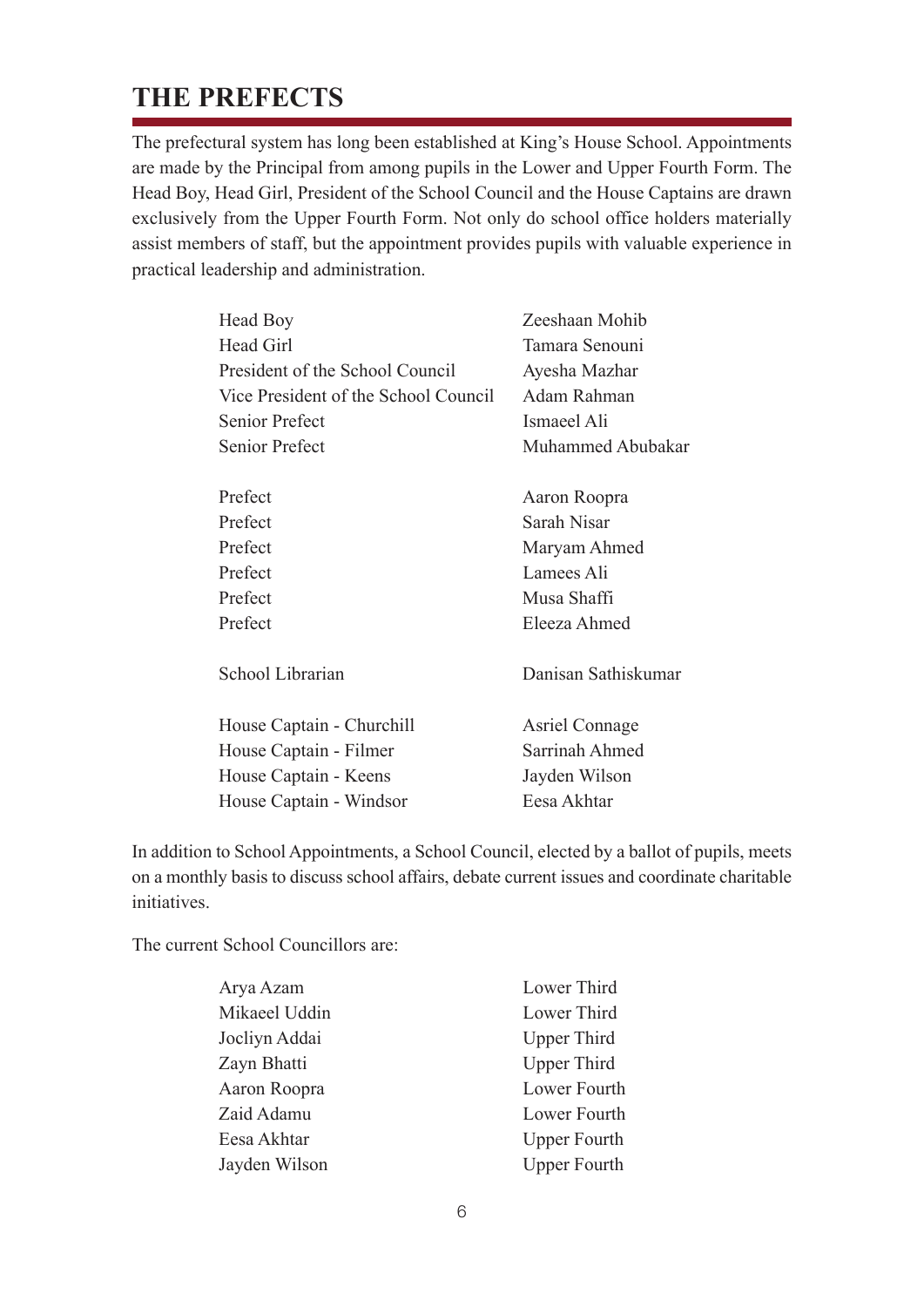## **THE PREFECTS**

The prefectural system has long been established at King's House School. Appointments are made by the Principal from among pupils in the Lower and Upper Fourth Form. The Head Boy, Head Girl, President of the School Council and the House Captains are drawn exclusively from the Upper Fourth Form. Not only do school office holders materially assist members of staff, but the appointment provides pupils with valuable experience in practical leadership and administration.

| Head Boy                             | Zeeshaan Mohib        |
|--------------------------------------|-----------------------|
| Head Girl                            | Tamara Senouni        |
| President of the School Council      | Ayesha Mazhar         |
| Vice President of the School Council | Adam Rahman           |
| <b>Senior Prefect</b>                | Ismaeel Ali           |
| <b>Senior Prefect</b>                | Muhammed Abubakar     |
|                                      |                       |
| Prefect                              | Aaron Roopra          |
| Prefect                              | Sarah Nisar           |
| Prefect                              | Maryam Ahmed          |
| Prefect                              | Lamees Ali            |
| Prefect                              | Musa Shaffi           |
| Prefect                              | Eleeza Ahmed          |
| School Librarian                     | Danisan Sathiskumar   |
| House Captain - Churchill            | <b>Asriel Connage</b> |
| House Captain - Filmer               | Sarrinah Ahmed        |
| House Captain - Keens                | Jayden Wilson         |
| House Captain - Windsor              | Eesa Akhtar           |

In addition to School Appointments, a School Council, elected by a ballot of pupils, meets on a monthly basis to discuss school affairs, debate current issues and coordinate charitable initiatives.

The current School Councillors are:

| Lower Third         |
|---------------------|
| Lower Third         |
| <b>Upper Third</b>  |
| <b>Upper Third</b>  |
| Lower Fourth        |
| Lower Fourth        |
| <b>Upper Fourth</b> |
| <b>Upper Fourth</b> |
|                     |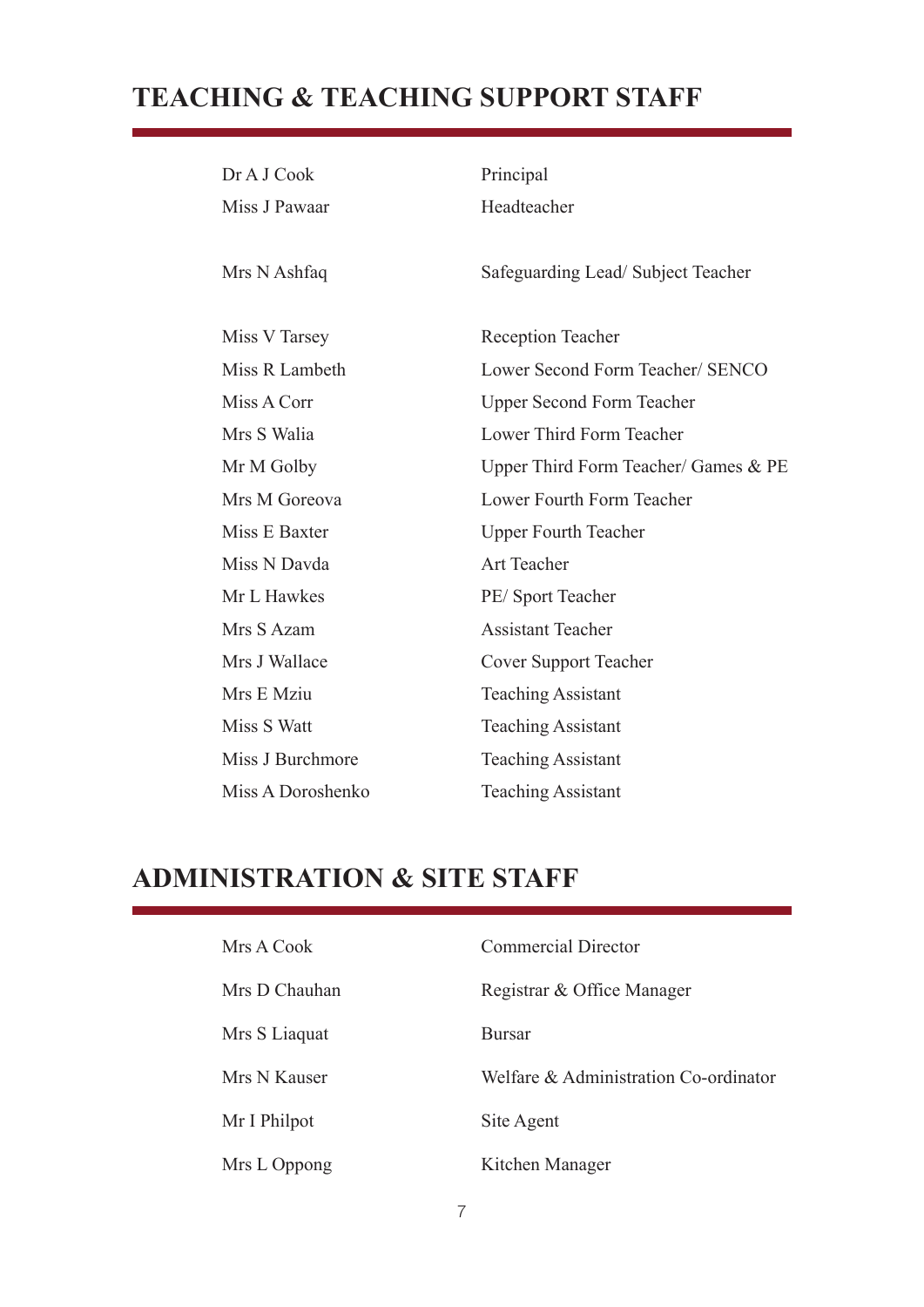## **TEACHING & TEACHING SUPPORT STAFF**

| Dr A J Cook       | Principal                            |
|-------------------|--------------------------------------|
| Miss J Pawaar     | Headteacher                          |
|                   |                                      |
| Mrs N Ashfaq      | Safeguarding Lead/Subject Teacher    |
|                   |                                      |
| Miss V Tarsey     | <b>Reception Teacher</b>             |
| Miss R Lambeth    | Lower Second Form Teacher/ SENCO     |
| Miss A Corr       | <b>Upper Second Form Teacher</b>     |
| Mrs S Walia       | Lower Third Form Teacher             |
| Mr M Golby        | Upper Third Form Teacher/ Games & PE |
| Mrs M Goreova     | Lower Fourth Form Teacher            |
| Miss E Baxter     | <b>Upper Fourth Teacher</b>          |
| Miss N Davda      | <b>Art Teacher</b>                   |
| Mr L Hawkes       | PE/Sport Teacher                     |
| Mrs S Azam        | <b>Assistant Teacher</b>             |
| Mrs J Wallace     | <b>Cover Support Teacher</b>         |
| Mrs E Mziu        | <b>Teaching Assistant</b>            |
| Miss S Watt       | <b>Teaching Assistant</b>            |
| Miss J Burchmore  | <b>Teaching Assistant</b>            |
| Miss A Doroshenko | <b>Teaching Assistant</b>            |

## **ADMINISTRATION & SITE STAFF**

| Mrs A Cook    | <b>Commercial Director</b>            |
|---------------|---------------------------------------|
| Mrs D Chauhan | Registrar & Office Manager            |
| Mrs S Liaquat | <b>Bursar</b>                         |
| Mrs N Kauser  | Welfare & Administration Co-ordinator |
| Mr I Philpot  | Site Agent                            |
| Mrs L Oppong  | Kitchen Manager                       |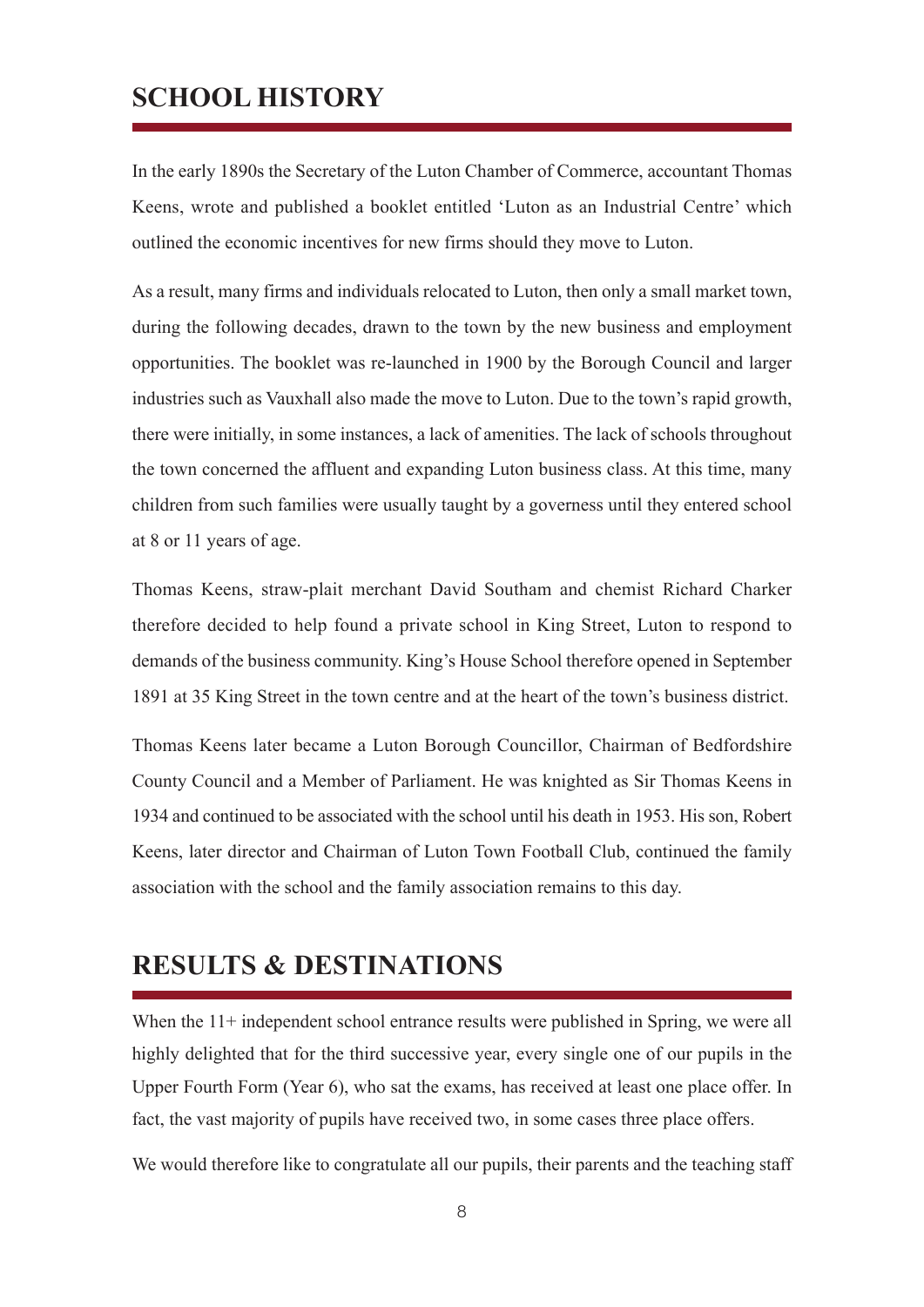## **SCHOOL HISTORY**

In the early 1890s the Secretary of the Luton Chamber of Commerce, accountant Thomas Keens, wrote and published a booklet entitled 'Luton as an Industrial Centre' which outlined the economic incentives for new firms should they move to Luton.

As a result, many firms and individuals relocated to Luton, then only a small market town, during the following decades, drawn to the town by the new business and employment opportunities. The booklet was re-launched in 1900 by the Borough Council and larger industries such as Vauxhall also made the move to Luton. Due to the town's rapid growth, there were initially, in some instances, a lack of amenities. The lack of schools throughout the town concerned the affluent and expanding Luton business class. At this time, many children from such families were usually taught by a governess until they entered school at 8 or 11 years of age.

Thomas Keens, straw-plait merchant David Southam and chemist Richard Charker therefore decided to help found a private school in King Street, Luton to respond to demands of the business community. King's House School therefore opened in September 1891 at 35 King Street in the town centre and at the heart of the town's business district.

Thomas Keens later became a Luton Borough Councillor, Chairman of Bedfordshire County Council and a Member of Parliament. He was knighted as Sir Thomas Keens in 1934 and continued to be associated with the school until his death in 1953. His son, Robert Keens, later director and Chairman of Luton Town Football Club, continued the family association with the school and the family association remains to this day.

## **RESULTS & DESTINATIONS**

When the 11+ independent school entrance results were published in Spring, we were all highly delighted that for the third successive year, every single one of our pupils in the Upper Fourth Form (Year 6), who sat the exams, has received at least one place offer. In fact, the vast majority of pupils have received two, in some cases three place offers.

We would therefore like to congratulate all our pupils, their parents and the teaching staff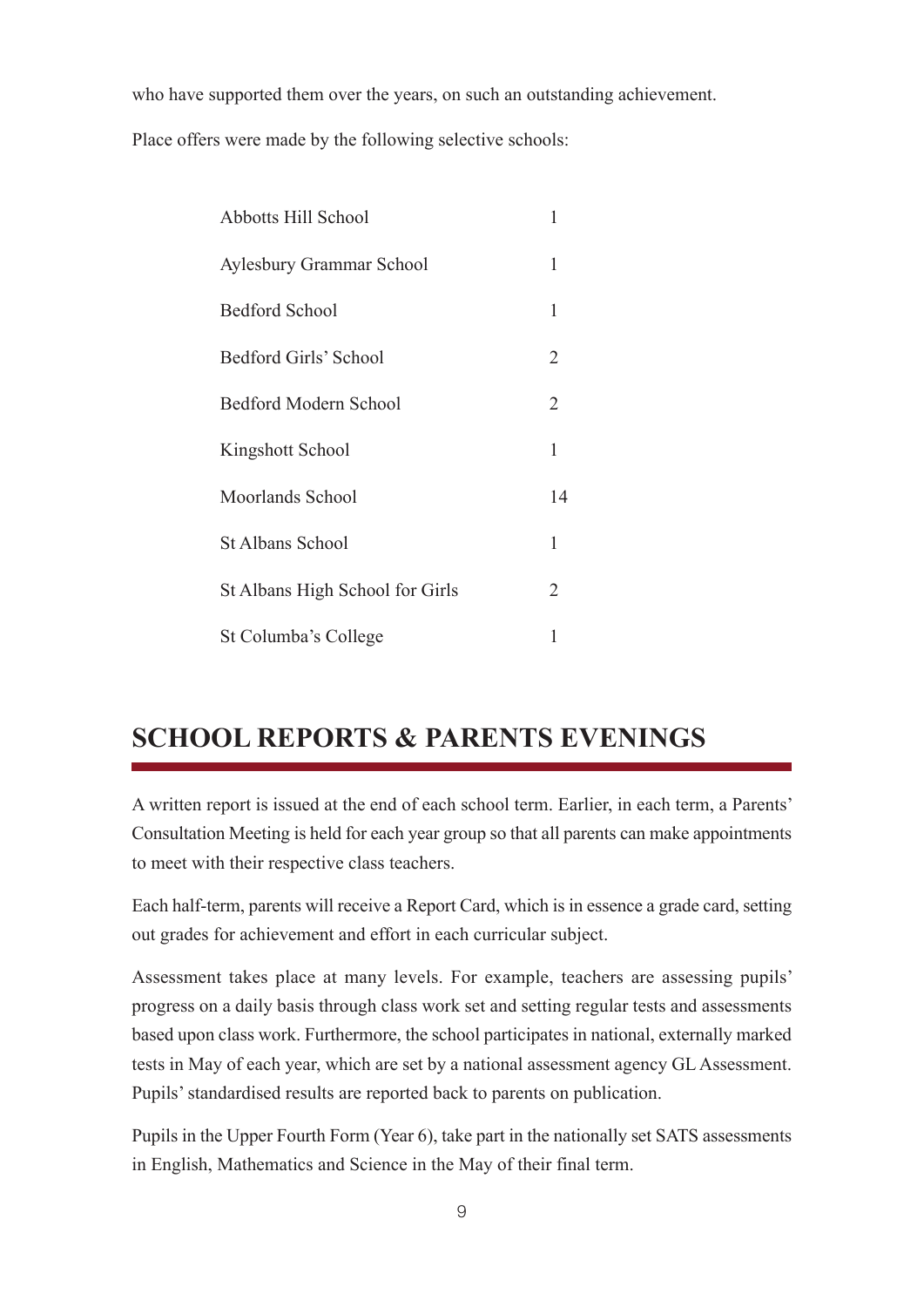who have supported them over the years, on such an outstanding achievement.

Place offers were made by the following selective schools:

| Abbotts Hill School             | 1            |
|---------------------------------|--------------|
| Aylesbury Grammar School        | 1            |
| <b>Bedford School</b>           | 1            |
| Bedford Girls' School           | 2            |
| Bedford Modern School           | 2            |
| Kingshott School                | $\mathbf{1}$ |
| Moorlands School                | 14           |
| <b>St Albans School</b>         | 1            |
| St Albans High School for Girls | 2            |
| St Columba's College            | 1            |

## **SCHOOL REPORTS & PARENTS EVENINGS**

A written report is issued at the end of each school term. Earlier, in each term, a Parents' Consultation Meeting is held for each year group so that all parents can make appointments to meet with their respective class teachers.

Each half-term, parents will receive a Report Card, which is in essence a grade card, setting out grades for achievement and effort in each curricular subject.

Assessment takes place at many levels. For example, teachers are assessing pupils' progress on a daily basis through class work set and setting regular tests and assessments based upon class work. Furthermore, the school participates in national, externally marked tests in May of each year, which are set by a national assessment agency GL Assessment. Pupils' standardised results are reported back to parents on publication.

Pupils in the Upper Fourth Form (Year 6), take part in the nationally set SATS assessments in English, Mathematics and Science in the May of their final term.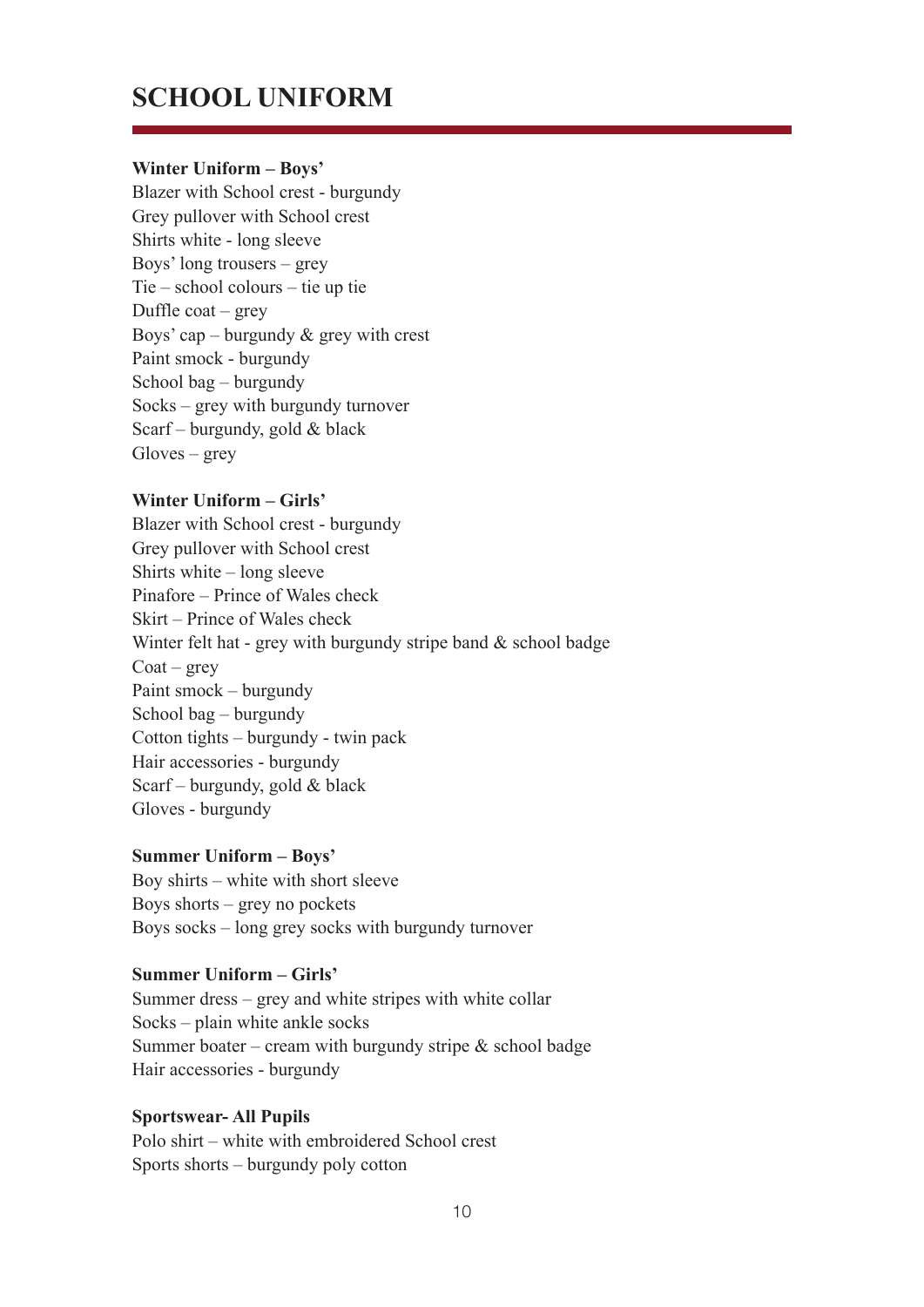## **SCHOOL UNIFORM**

#### **Winter Uniform – Boys'**

Blazer with School crest - burgundy Grey pullover with School crest Shirts white - long sleeve Boys' long trousers – grey Tie – school colours – tie up tie Duffle  $\text{coat}$  – grey Boys' cap – burgundy  $\&$  grey with crest Paint smock - burgundy School bag – burgundy Socks – grey with burgundy turnover Scarf – burgundy, gold & black Gloves – grey

#### **Winter Uniform – Girls'**

Blazer with School crest - burgundy Grey pullover with School crest Shirts white – long sleeve Pinafore – Prince of Wales check Skirt – Prince of Wales check Winter felt hat - grey with burgundy stripe band  $&$  school badge  $\text{Coat}$  – grey Paint smock – burgundy School bag – burgundy Cotton tights – burgundy - twin pack Hair accessories - burgundy Scarf – burgundy, gold & black Gloves - burgundy

#### **Summer Uniform – Boys'**

Boy shirts – white with short sleeve Boys shorts – grey no pockets Boys socks – long grey socks with burgundy turnover

#### **Summer Uniform – Girls'**

Summer dress – grey and white stripes with white collar Socks – plain white ankle socks Summer boater – cream with burgundy stripe  $&$  school badge Hair accessories - burgundy

#### **Sportswear- All Pupils**

Polo shirt – white with embroidered School crest Sports shorts – burgundy poly cotton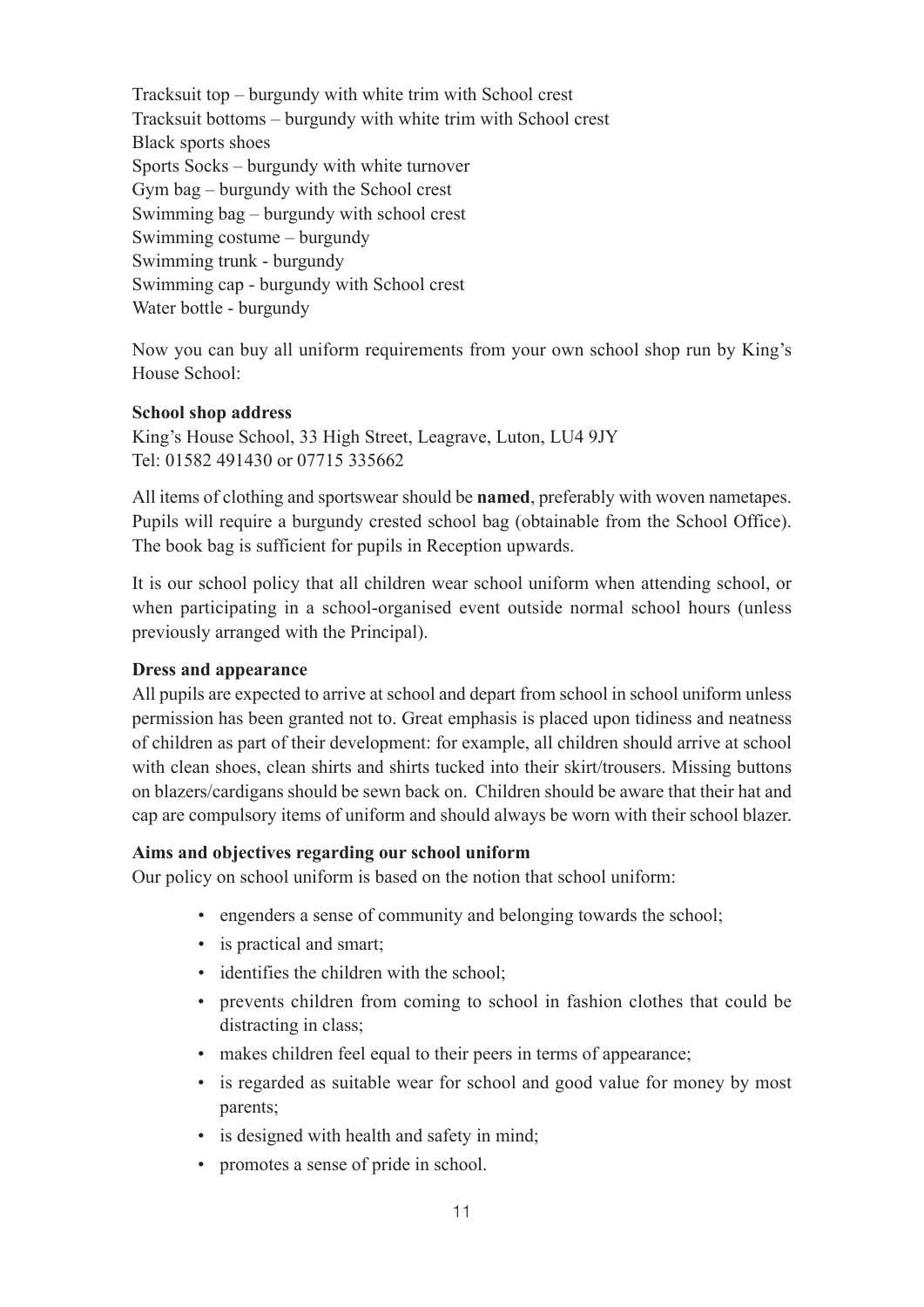Tracksuit top – burgundy with white trim with School crest Tracksuit bottoms – burgundy with white trim with School crest Black sports shoes Sports Socks – burgundy with white turnover Gym bag – burgundy with the School crest Swimming bag – burgundy with school crest Swimming costume – burgundy Swimming trunk - burgundy Swimming cap - burgundy with School crest Water bottle - burgundy

Now you can buy all uniform requirements from your own school shop run by King's House School:

#### **School shop address**

King's House School, 33 High Street, Leagrave, Luton, LU4 9JY Tel: 01582 491430 or 07715 335662

All items of clothing and sportswear should be **named**, preferably with woven nametapes. Pupils will require a burgundy crested school bag (obtainable from the School Office). The book bag is sufficient for pupils in Reception upwards.

It is our school policy that all children wear school uniform when attending school, or when participating in a school-organised event outside normal school hours (unless previously arranged with the Principal).

#### **Dress and appearance**

All pupils are expected to arrive at school and depart from school in school uniform unless permission has been granted not to. Great emphasis is placed upon tidiness and neatness of children as part of their development: for example, all children should arrive at school with clean shoes, clean shirts and shirts tucked into their skirt/trousers. Missing buttons on blazers/cardigans should be sewn back on. Children should be aware that their hat and cap are compulsory items of uniform and should always be worn with their school blazer.

#### **Aims and objectives regarding our school uniform**

Our policy on school uniform is based on the notion that school uniform:

- engenders a sense of community and belonging towards the school;
- is practical and smart;
- identifies the children with the school;
- prevents children from coming to school in fashion clothes that could be distracting in class;
- makes children feel equal to their peers in terms of appearance;
- is regarded as suitable wear for school and good value for money by most parents;
- is designed with health and safety in mind;
- promotes a sense of pride in school.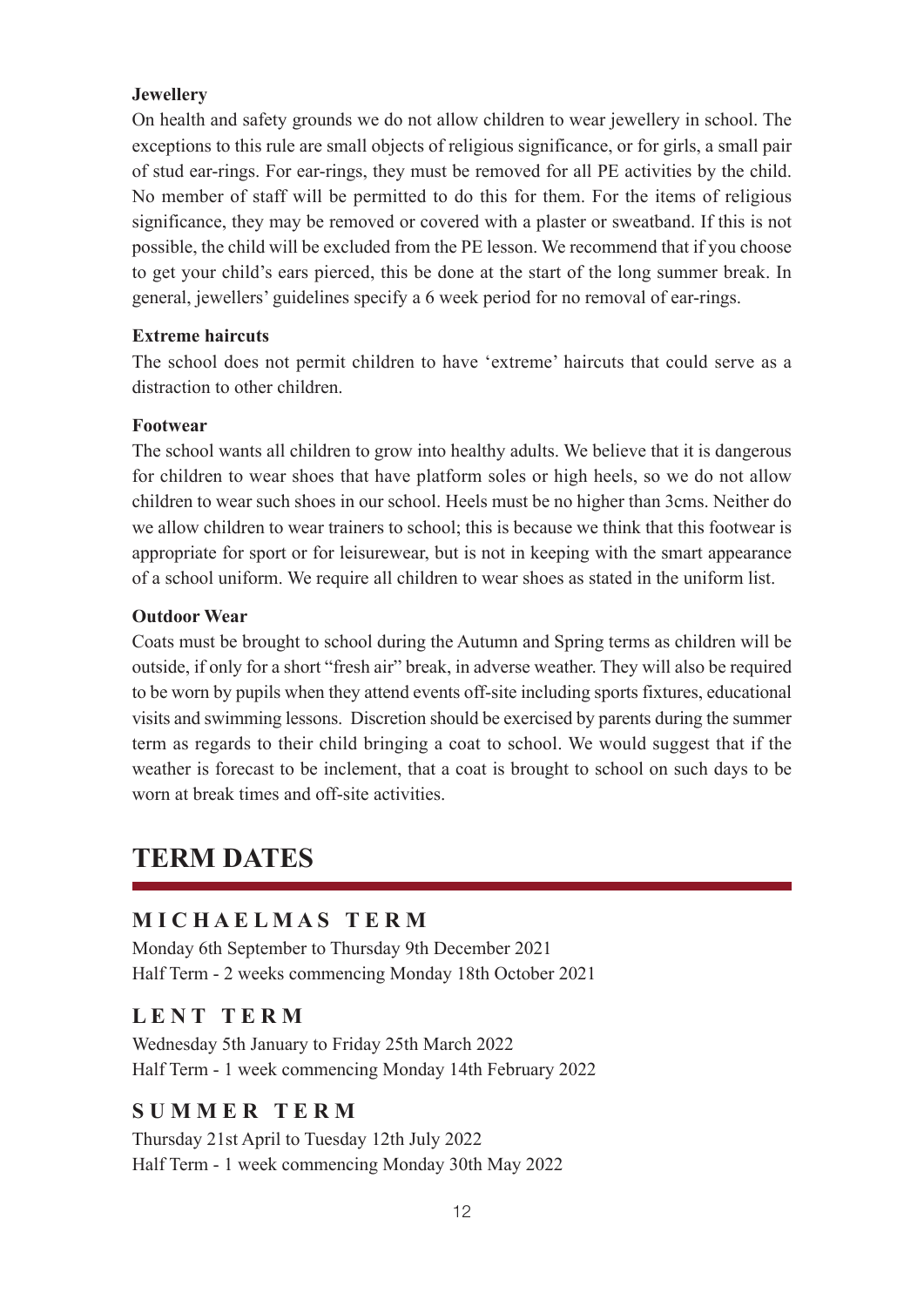#### **Jewellery**

On health and safety grounds we do not allow children to wear jewellery in school. The exceptions to this rule are small objects of religious significance, or for girls, a small pair of stud ear-rings. For ear-rings, they must be removed for all PE activities by the child. No member of staff will be permitted to do this for them. For the items of religious significance, they may be removed or covered with a plaster or sweatband. If this is not possible, the child will be excluded from the PE lesson. We recommend that if you choose to get your child's ears pierced, this be done at the start of the long summer break. In general, jewellers' guidelines specify a 6 week period for no removal of ear-rings.

#### **Extreme haircuts**

The school does not permit children to have 'extreme' haircuts that could serve as a distraction to other children.

#### **Footwear**

The school wants all children to grow into healthy adults. We believe that it is dangerous for children to wear shoes that have platform soles or high heels, so we do not allow children to wear such shoes in our school. Heels must be no higher than 3cms. Neither do we allow children to wear trainers to school; this is because we think that this footwear is appropriate for sport or for leisurewear, but is not in keeping with the smart appearance of a school uniform. We require all children to wear shoes as stated in the uniform list.

#### **Outdoor Wear**

Coats must be brought to school during the Autumn and Spring terms as children will be outside, if only for a short "fresh air" break, in adverse weather. They will also be required to be worn by pupils when they attend events off-site including sports fixtures, educational visits and swimming lessons. Discretion should be exercised by parents during the summer term as regards to their child bringing a coat to school. We would suggest that if the weather is forecast to be inclement, that a coat is brought to school on such days to be worn at break times and off-site activities.

### **TERM DATES**

#### **M I C H A E L M A S T E R M**

Monday 6th September to Thursday 9th December 2021 Half Term - 2 weeks commencing Monday 18th October 2021

#### **L E N T T E R M**

Wednesday 5th January to Friday 25th March 2022 Half Term - 1 week commencing Monday 14th February 2022

#### **S U M M E R T E R M**

Thursday 21st April to Tuesday 12th July 2022 Half Term - 1 week commencing Monday 30th May 2022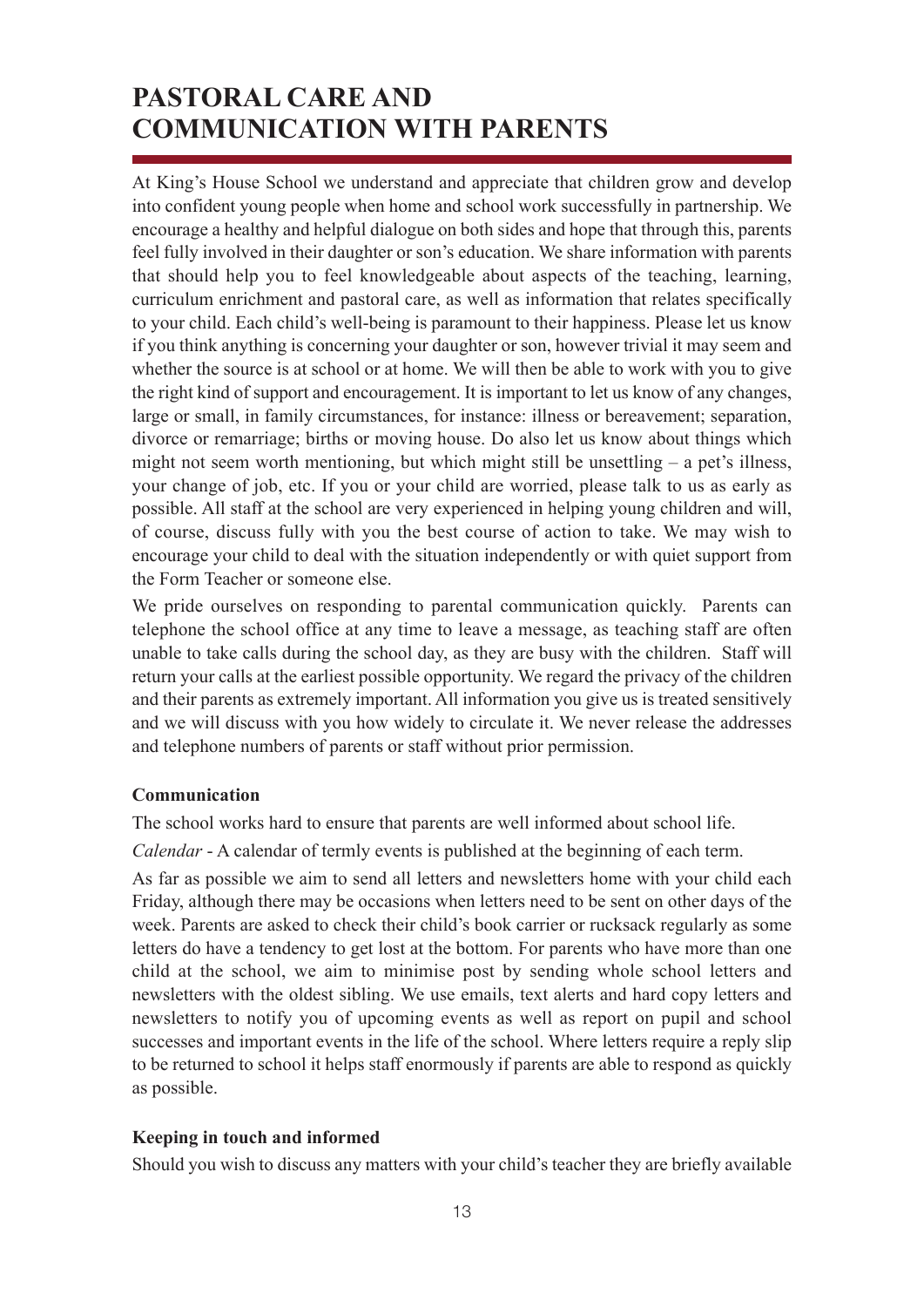## **PASTORAL CARE AND COMMUNICATION WITH PARENTS**

At King's House School we understand and appreciate that children grow and develop into confident young people when home and school work successfully in partnership. We encourage a healthy and helpful dialogue on both sides and hope that through this, parents feel fully involved in their daughter or son's education. We share information with parents that should help you to feel knowledgeable about aspects of the teaching, learning, curriculum enrichment and pastoral care, as well as information that relates specifically to your child. Each child's well-being is paramount to their happiness. Please let us know if you think anything is concerning your daughter or son, however trivial it may seem and whether the source is at school or at home. We will then be able to work with you to give the right kind of support and encouragement. It is important to let us know of any changes, large or small, in family circumstances, for instance: illness or bereavement; separation, divorce or remarriage; births or moving house. Do also let us know about things which might not seem worth mentioning, but which might still be unsettling – a pet's illness, your change of job, etc. If you or your child are worried, please talk to us as early as possible. All staff at the school are very experienced in helping young children and will, of course, discuss fully with you the best course of action to take. We may wish to encourage your child to deal with the situation independently or with quiet support from the Form Teacher or someone else.

We pride ourselves on responding to parental communication quickly. Parents can telephone the school office at any time to leave a message, as teaching staff are often unable to take calls during the school day, as they are busy with the children. Staff will return your calls at the earliest possible opportunity. We regard the privacy of the children and their parents as extremely important. All information you give us is treated sensitively and we will discuss with you how widely to circulate it. We never release the addresses and telephone numbers of parents or staff without prior permission.

#### **Communication**

The school works hard to ensure that parents are well informed about school life.

*Calendar* - A calendar of termly events is published at the beginning of each term.

As far as possible we aim to send all letters and newsletters home with your child each Friday, although there may be occasions when letters need to be sent on other days of the week. Parents are asked to check their child's book carrier or rucksack regularly as some letters do have a tendency to get lost at the bottom. For parents who have more than one child at the school, we aim to minimise post by sending whole school letters and newsletters with the oldest sibling. We use emails, text alerts and hard copy letters and newsletters to notify you of upcoming events as well as report on pupil and school successes and important events in the life of the school. Where letters require a reply slip to be returned to school it helps staff enormously if parents are able to respond as quickly as possible.

#### **Keeping in touch and informed**

Should you wish to discuss any matters with your child's teacher they are briefly available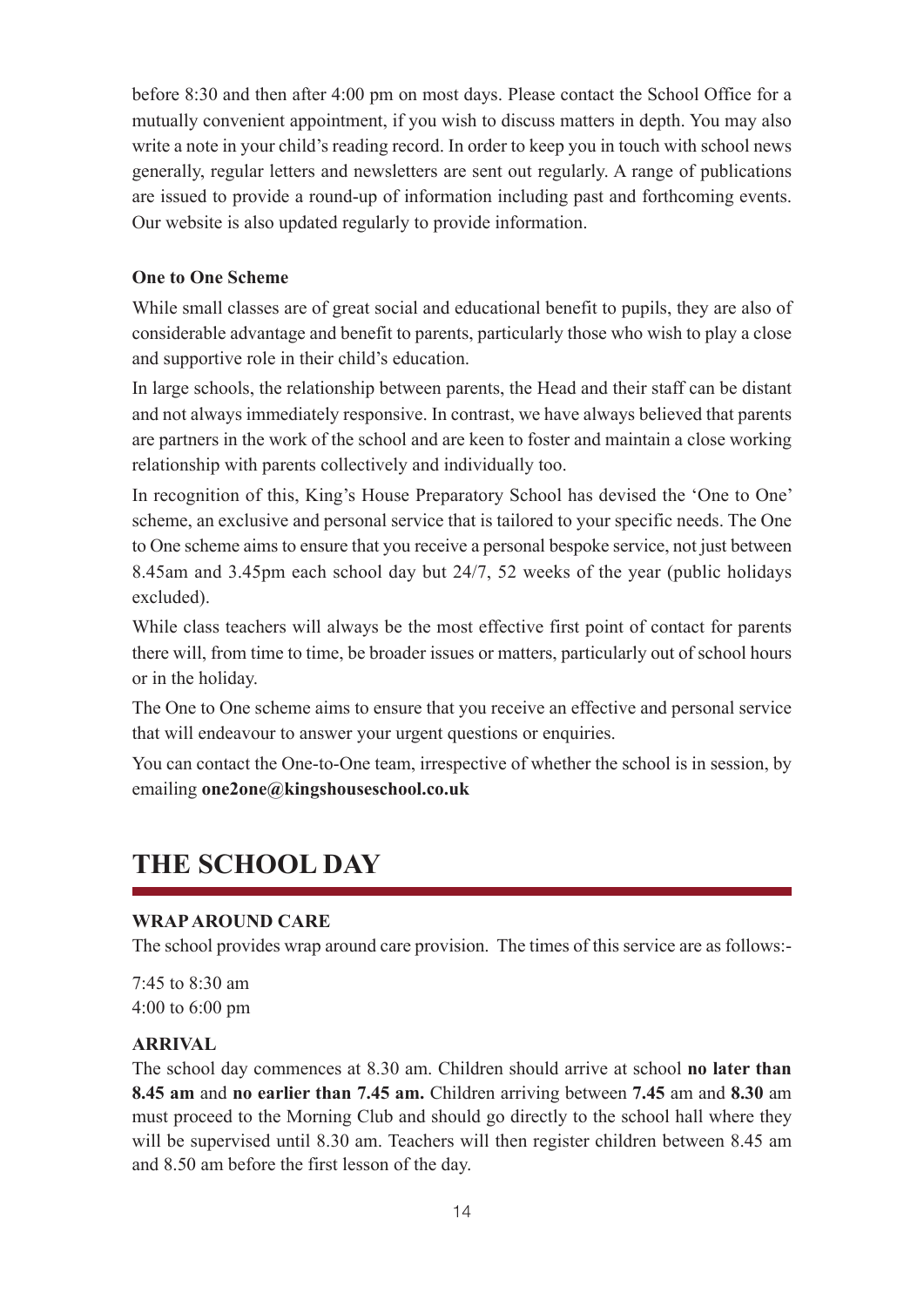before 8:30 and then after 4:00 pm on most days. Please contact the School Office for a mutually convenient appointment, if you wish to discuss matters in depth. You may also write a note in your child's reading record. In order to keep you in touch with school news generally, regular letters and newsletters are sent out regularly. A range of publications are issued to provide a round-up of information including past and forthcoming events. Our website is also updated regularly to provide information.

#### **One to One Scheme**

While small classes are of great social and educational benefit to pupils, they are also of considerable advantage and benefit to parents, particularly those who wish to play a close and supportive role in their child's education.

In large schools, the relationship between parents, the Head and their staff can be distant and not always immediately responsive. In contrast, we have always believed that parents are partners in the work of the school and are keen to foster and maintain a close working relationship with parents collectively and individually too.

In recognition of this, King's House Preparatory School has devised the 'One to One' scheme, an exclusive and personal service that is tailored to your specific needs. The One to One scheme aims to ensure that you receive a personal bespoke service, not just between 8.45am and 3.45pm each school day but 24/7, 52 weeks of the year (public holidays excluded).

While class teachers will always be the most effective first point of contact for parents there will, from time to time, be broader issues or matters, particularly out of school hours or in the holiday.

The One to One scheme aims to ensure that you receive an effective and personal service that will endeavour to answer your urgent questions or enquiries.

You can contact the One-to-One team, irrespective of whether the school is in session, by emailing **one2one@kingshouseschool.co.uk**

## **THE SCHOOL DAY**

#### **WRAP AROUND CARE**

The school provides wrap around care provision. The times of this service are as follows:-

7:45 to 8:30 am 4:00 to 6:00 pm

#### **ARRIVAL**

The school day commences at 8.30 am. Children should arrive at school **no later than 8.45 am** and **no earlier than 7.45 am.** Children arriving between **7.45** am and **8.30** am must proceed to the Morning Club and should go directly to the school hall where they will be supervised until 8.30 am. Teachers will then register children between 8.45 am and 8.50 am before the first lesson of the day.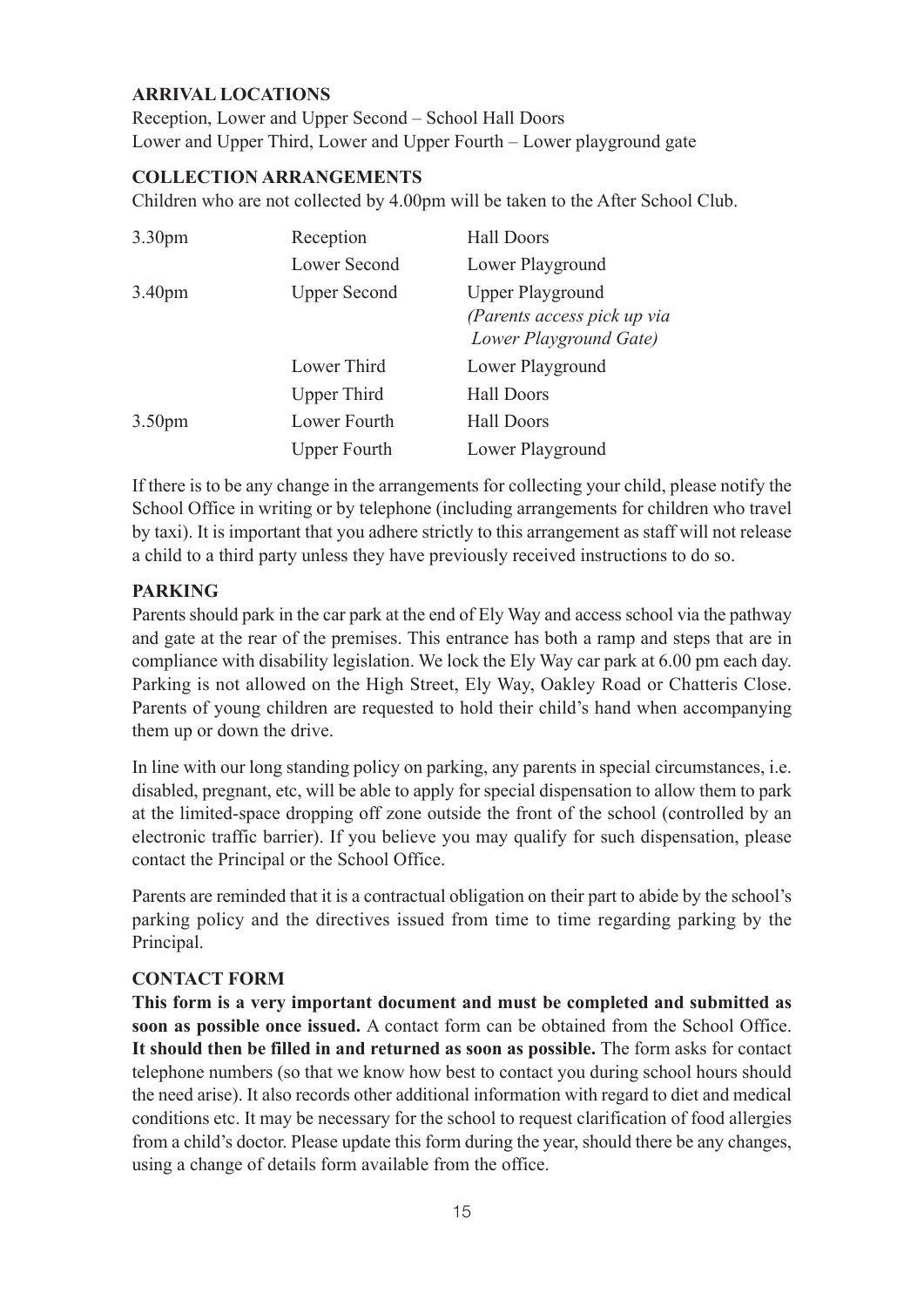#### **ARRIVAL LOCATIONS**

Reception, Lower and Upper Second – School Hall Doors Lower and Upper Third, Lower and Upper Fourth – Lower playground gate

#### **COLLECTION ARRANGEMENTS**

Children who are not collected by 4.00pm will be taken to the After School Club.

| 3.30 <sub>pm</sub> | Reception           | <b>Hall Doors</b>                                                                |
|--------------------|---------------------|----------------------------------------------------------------------------------|
|                    | Lower Second        | Lower Playground                                                                 |
| 3.40 <sub>pm</sub> | <b>Upper Second</b> | <b>Upper Playground</b><br>(Parents access pick up via<br>Lower Playground Gate) |
|                    | Lower Third         | Lower Playground                                                                 |
|                    | <b>Upper Third</b>  | <b>Hall Doors</b>                                                                |
| 3.50 <sub>pm</sub> | Lower Fourth        | <b>Hall Doors</b>                                                                |
|                    | <b>Upper Fourth</b> | Lower Playground                                                                 |

If there is to be any change in the arrangements for collecting your child, please notify the School Office in writing or by telephone (including arrangements for children who travel by taxi). It is important that you adhere strictly to this arrangement as staff will not release a child to a third party unless they have previously received instructions to do so.

#### **PARKING**

Parents should park in the car park at the end of Ely Way and access school via the pathway and gate at the rear of the premises. This entrance has both a ramp and steps that are in compliance with disability legislation. We lock the Ely Way car park at 6.00 pm each day. Parking is not allowed on the High Street, Ely Way, Oakley Road or Chatteris Close. Parents of young children are requested to hold their child's hand when accompanying them up or down the drive.

In line with our long standing policy on parking, any parents in special circumstances, i.e. disabled, pregnant, etc, will be able to apply for special dispensation to allow them to park at the limited-space dropping off zone outside the front of the school (controlled by an electronic traffic barrier). If you believe you may qualify for such dispensation, please contact the Principal or the School Office.

Parents are reminded that it is a contractual obligation on their part to abide by the school's parking policy and the directives issued from time to time regarding parking by the Principal.

#### **CONTACT FORM**

**This form is a very important document and must be completed and submitted as soon as possible once issued.** A contact form can be obtained from the School Office. **It should then be filled in and returned as soon as possible.** The form asks for contact telephone numbers (so that we know how best to contact you during school hours should the need arise). It also records other additional information with regard to diet and medical conditions etc. It may be necessary for the school to request clarification of food allergies from a child's doctor. Please update this form during the year, should there be any changes, using a change of details form available from the office.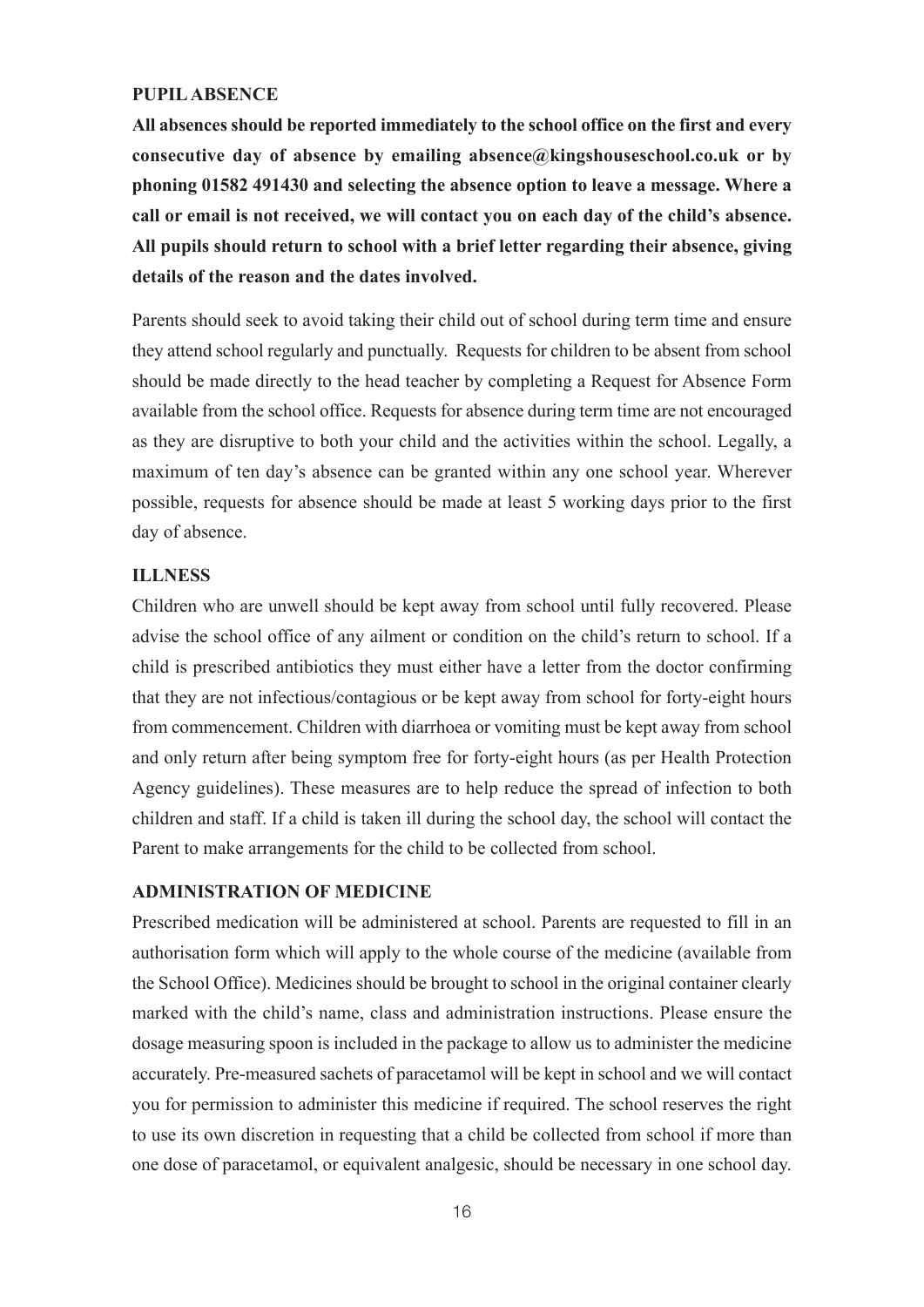#### **PUPIL ABSENCE**

**All absences should be reported immediately to the school office on the first and every consecutive day of absence by emailing absence@kingshouseschool.co.uk or by phoning 01582 491430 and selecting the absence option to leave a message. Where a call or email is not received, we will contact you on each day of the child's absence. All pupils should return to school with a brief letter regarding their absence, giving details of the reason and the dates involved.**

Parents should seek to avoid taking their child out of school during term time and ensure they attend school regularly and punctually. Requests for children to be absent from school should be made directly to the head teacher by completing a Request for Absence Form available from the school office. Requests for absence during term time are not encouraged as they are disruptive to both your child and the activities within the school. Legally, a maximum of ten day's absence can be granted within any one school year. Wherever possible, requests for absence should be made at least 5 working days prior to the first day of absence.

#### **ILLNESS**

Children who are unwell should be kept away from school until fully recovered. Please advise the school office of any ailment or condition on the child's return to school. If a child is prescribed antibiotics they must either have a letter from the doctor confirming that they are not infectious/contagious or be kept away from school for forty-eight hours from commencement. Children with diarrhoea or vomiting must be kept away from school and only return after being symptom free for forty-eight hours (as per Health Protection Agency guidelines). These measures are to help reduce the spread of infection to both children and staff. If a child is taken ill during the school day, the school will contact the Parent to make arrangements for the child to be collected from school.

#### **ADMINISTRATION OF MEDICINE**

Prescribed medication will be administered at school. Parents are requested to fill in an authorisation form which will apply to the whole course of the medicine (available from the School Office). Medicines should be brought to school in the original container clearly marked with the child's name, class and administration instructions. Please ensure the dosage measuring spoon is included in the package to allow us to administer the medicine accurately. Pre-measured sachets of paracetamol will be kept in school and we will contact you for permission to administer this medicine if required. The school reserves the right to use its own discretion in requesting that a child be collected from school if more than one dose of paracetamol, or equivalent analgesic, should be necessary in one school day.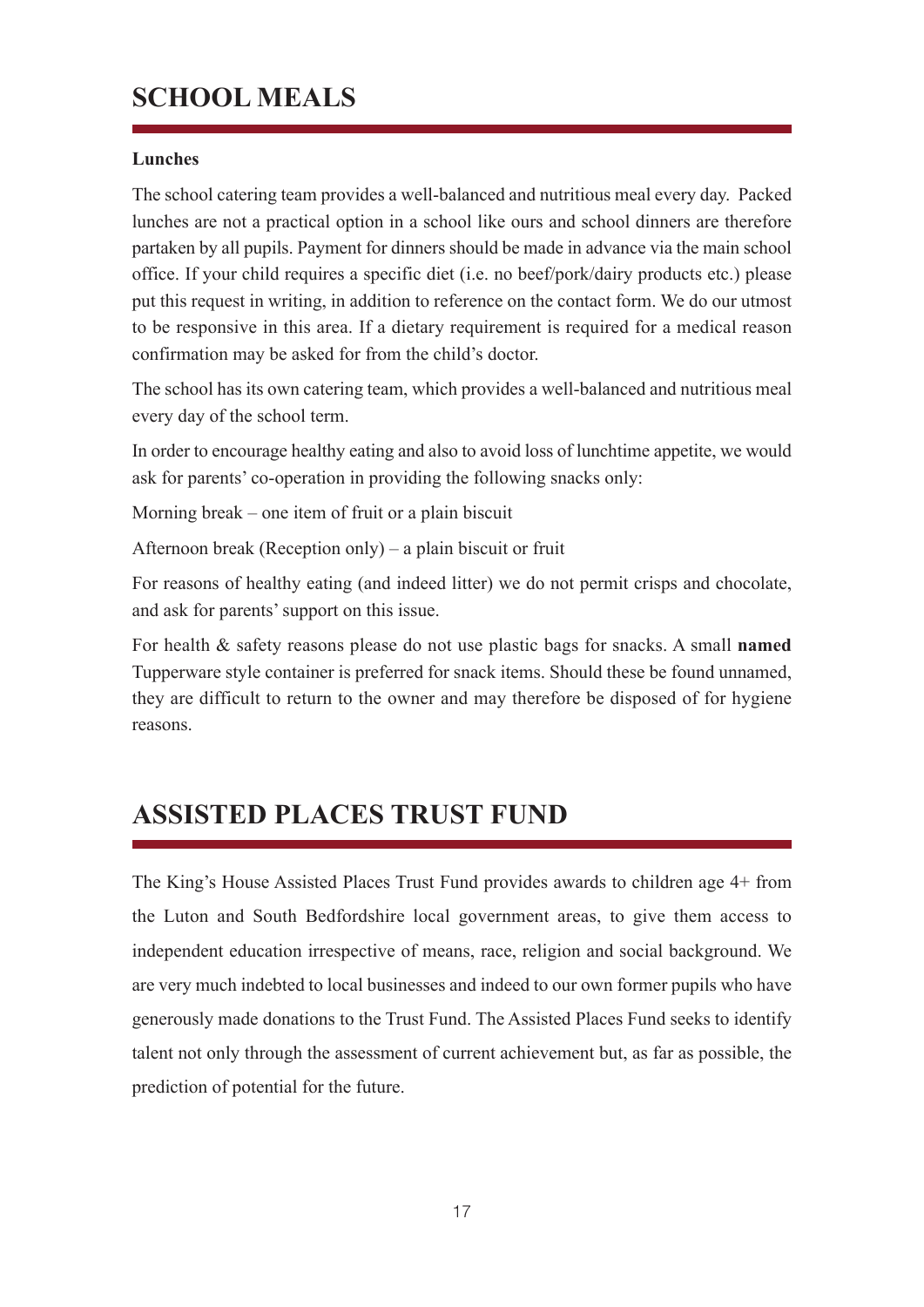## **SCHOOL MEALS**

#### **Lunches**

The school catering team provides a well-balanced and nutritious meal every day. Packed lunches are not a practical option in a school like ours and school dinners are therefore partaken by all pupils. Payment for dinners should be made in advance via the main school office. If your child requires a specific diet (i.e. no beef/pork/dairy products etc.) please put this request in writing, in addition to reference on the contact form. We do our utmost to be responsive in this area. If a dietary requirement is required for a medical reason confirmation may be asked for from the child's doctor.

The school has its own catering team, which provides a well-balanced and nutritious meal every day of the school term.

In order to encourage healthy eating and also to avoid loss of lunchtime appetite, we would ask for parents' co-operation in providing the following snacks only:

Morning break – one item of fruit or a plain biscuit

Afternoon break (Reception only) – a plain biscuit or fruit

For reasons of healthy eating (and indeed litter) we do not permit crisps and chocolate, and ask for parents' support on this issue.

For health & safety reasons please do not use plastic bags for snacks. A small **named** Tupperware style container is preferred for snack items. Should these be found unnamed, they are difficult to return to the owner and may therefore be disposed of for hygiene reasons.

## **ASSISTED PLACES TRUST FUND**

The King's House Assisted Places Trust Fund provides awards to children age 4+ from the Luton and South Bedfordshire local government areas, to give them access to independent education irrespective of means, race, religion and social background. We are very much indebted to local businesses and indeed to our own former pupils who have generously made donations to the Trust Fund. The Assisted Places Fund seeks to identify talent not only through the assessment of current achievement but, as far as possible, the prediction of potential for the future.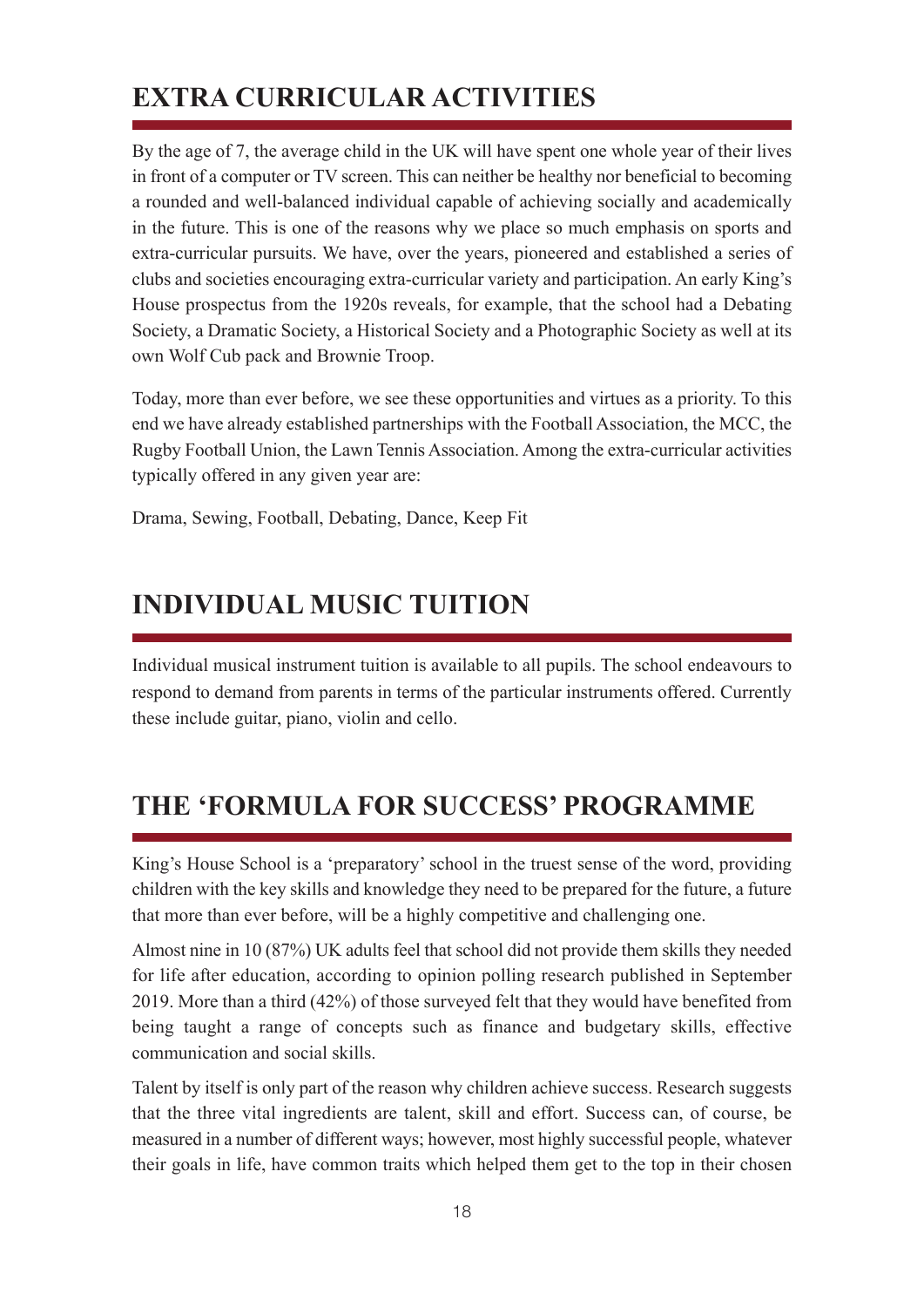## **EXTRA CURRICULAR ACTIVITIES**

By the age of 7, the average child in the UK will have spent one whole year of their lives in front of a computer or TV screen. This can neither be healthy nor beneficial to becoming a rounded and well-balanced individual capable of achieving socially and academically in the future. This is one of the reasons why we place so much emphasis on sports and extra-curricular pursuits. We have, over the years, pioneered and established a series of clubs and societies encouraging extra-curricular variety and participation. An early King's House prospectus from the 1920s reveals, for example, that the school had a Debating Society, a Dramatic Society, a Historical Society and a Photographic Society as well at its own Wolf Cub pack and Brownie Troop.

Today, more than ever before, we see these opportunities and virtues as a priority. To this end we have already established partnerships with the Football Association, the MCC, the Rugby Football Union, the Lawn Tennis Association. Among the extra-curricular activities typically offered in any given year are:

Drama, Sewing, Football, Debating, Dance, Keep Fit

## **INDIVIDUAL MUSIC TUITION**

Individual musical instrument tuition is available to all pupils. The school endeavours to respond to demand from parents in terms of the particular instruments offered. Currently these include guitar, piano, violin and cello.

## **THE 'FORMULA FOR SUCCESS' PROGRAMME**

King's House School is a 'preparatory' school in the truest sense of the word, providing children with the key skills and knowledge they need to be prepared for the future, a future that more than ever before, will be a highly competitive and challenging one.

Almost nine in 10 (87%) UK adults feel that school did not provide them skills they needed for life after education, according to opinion polling research published in September 2019. More than a third (42%) of those surveyed felt that they would have benefited from being taught a range of concepts such as finance and budgetary skills, effective communication and social skills.

Talent by itself is only part of the reason why children achieve success. Research suggests that the three vital ingredients are talent, skill and effort. Success can, of course, be measured in a number of different ways; however, most highly successful people, whatever their goals in life, have common traits which helped them get to the top in their chosen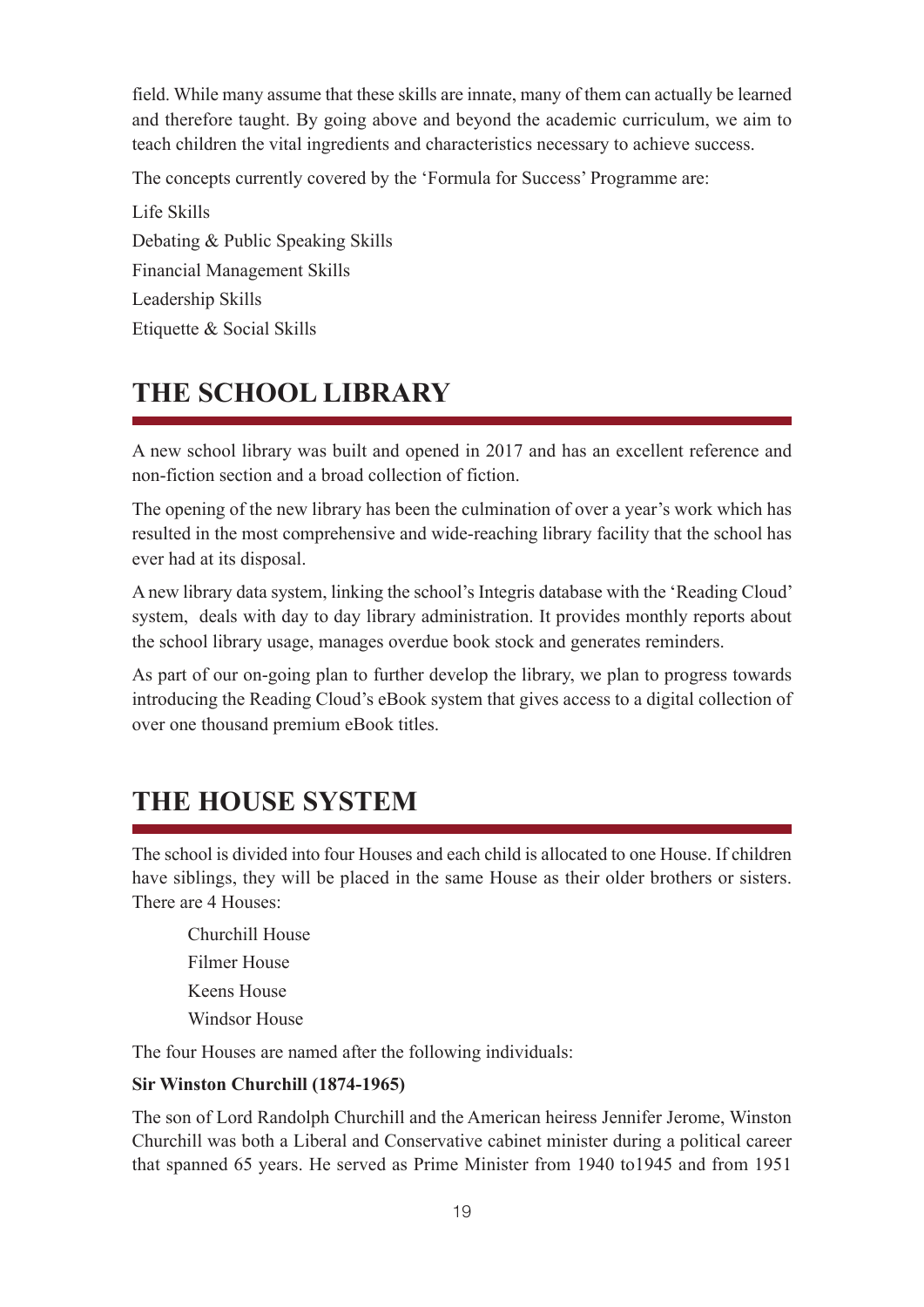field. While many assume that these skills are innate, many of them can actually be learned and therefore taught. By going above and beyond the academic curriculum, we aim to teach children the vital ingredients and characteristics necessary to achieve success.

The concepts currently covered by the 'Formula for Success' Programme are:

Life Skills Debating & Public Speaking Skills Financial Management Skills Leadership Skills Etiquette & Social Skills

## **THE SCHOOL LIBRARY**

A new school library was built and opened in 2017 and has an excellent reference and non-fiction section and a broad collection of fiction.

The opening of the new library has been the culmination of over a year's work which has resulted in the most comprehensive and wide-reaching library facility that the school has ever had at its disposal.

A new library data system, linking the school's Integris database with the 'Reading Cloud' system, deals with day to day library administration. It provides monthly reports about the school library usage, manages overdue book stock and generates reminders.

As part of our on-going plan to further develop the library, we plan to progress towards introducing the Reading Cloud's eBook system that gives access to a digital collection of over one thousand premium eBook titles.

## **THE HOUSE SYSTEM**

The school is divided into four Houses and each child is allocated to one House. If children have siblings, they will be placed in the same House as their older brothers or sisters. There are 4 Houses:

Churchill House Filmer House Keens House Windsor House

The four Houses are named after the following individuals:

#### **Sir Winston Churchill (1874-1965)**

The son of Lord Randolph Churchill and the American heiress Jennifer Jerome, Winston Churchill was both a Liberal and Conservative cabinet minister during a political career that spanned 65 years. He served as Prime Minister from 1940 to1945 and from 1951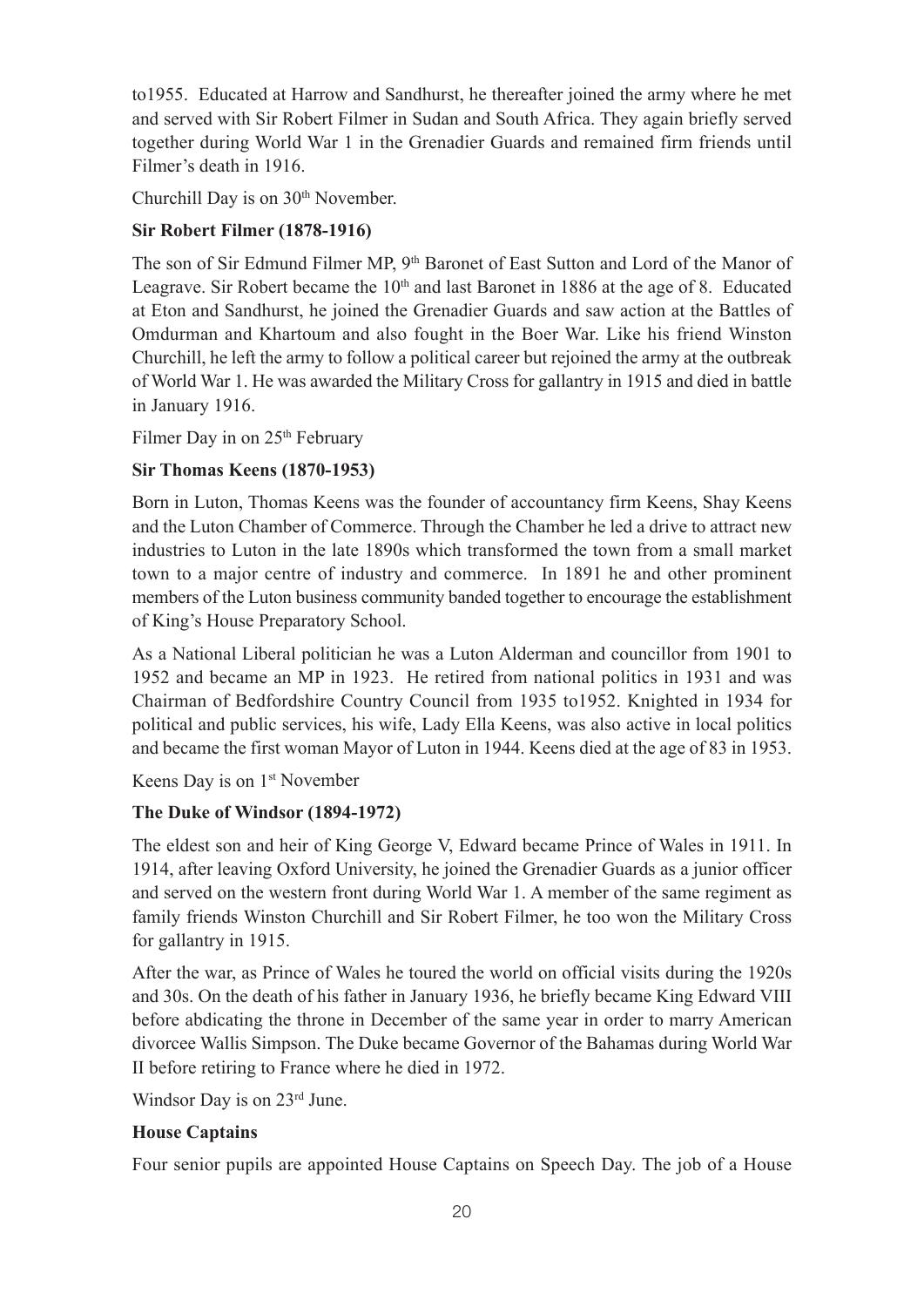to1955. Educated at Harrow and Sandhurst, he thereafter joined the army where he met and served with Sir Robert Filmer in Sudan and South Africa. They again briefly served together during World War 1 in the Grenadier Guards and remained firm friends until Filmer's death in 1916.

Churchill Day is on 30<sup>th</sup> November.

#### **Sir Robert Filmer (1878-1916)**

The son of Sir Edmund Filmer MP, 9<sup>th</sup> Baronet of East Sutton and Lord of the Manor of Leagrave. Sir Robert became the  $10<sup>th</sup>$  and last Baronet in 1886 at the age of 8. Educated at Eton and Sandhurst, he joined the Grenadier Guards and saw action at the Battles of Omdurman and Khartoum and also fought in the Boer War. Like his friend Winston Churchill, he left the army to follow a political career but rejoined the army at the outbreak of World War 1. He was awarded the Military Cross for gallantry in 1915 and died in battle in January 1916.

Filmer Day in on 25<sup>th</sup> February

#### **Sir Thomas Keens (1870-1953)**

Born in Luton, Thomas Keens was the founder of accountancy firm Keens, Shay Keens and the Luton Chamber of Commerce. Through the Chamber he led a drive to attract new industries to Luton in the late 1890s which transformed the town from a small market town to a major centre of industry and commerce. In 1891 he and other prominent members of the Luton business community banded together to encourage the establishment of King's House Preparatory School.

As a National Liberal politician he was a Luton Alderman and councillor from 1901 to 1952 and became an MP in 1923. He retired from national politics in 1931 and was Chairman of Bedfordshire Country Council from 1935 to1952. Knighted in 1934 for political and public services, his wife, Lady Ella Keens, was also active in local politics and became the first woman Mayor of Luton in 1944. Keens died at the age of 83 in 1953.

Keens Day is on 1st November

#### **The Duke of Windsor (1894-1972)**

The eldest son and heir of King George V, Edward became Prince of Wales in 1911. In 1914, after leaving Oxford University, he joined the Grenadier Guards as a junior officer and served on the western front during World War 1. A member of the same regiment as family friends Winston Churchill and Sir Robert Filmer, he too won the Military Cross for gallantry in 1915.

After the war, as Prince of Wales he toured the world on official visits during the 1920s and 30s. On the death of his father in January 1936, he briefly became King Edward VIII before abdicating the throne in December of the same year in order to marry American divorcee Wallis Simpson. The Duke became Governor of the Bahamas during World War II before retiring to France where he died in 1972.

Windsor Day is on 23rd June.

#### **House Captains**

Four senior pupils are appointed House Captains on Speech Day. The job of a House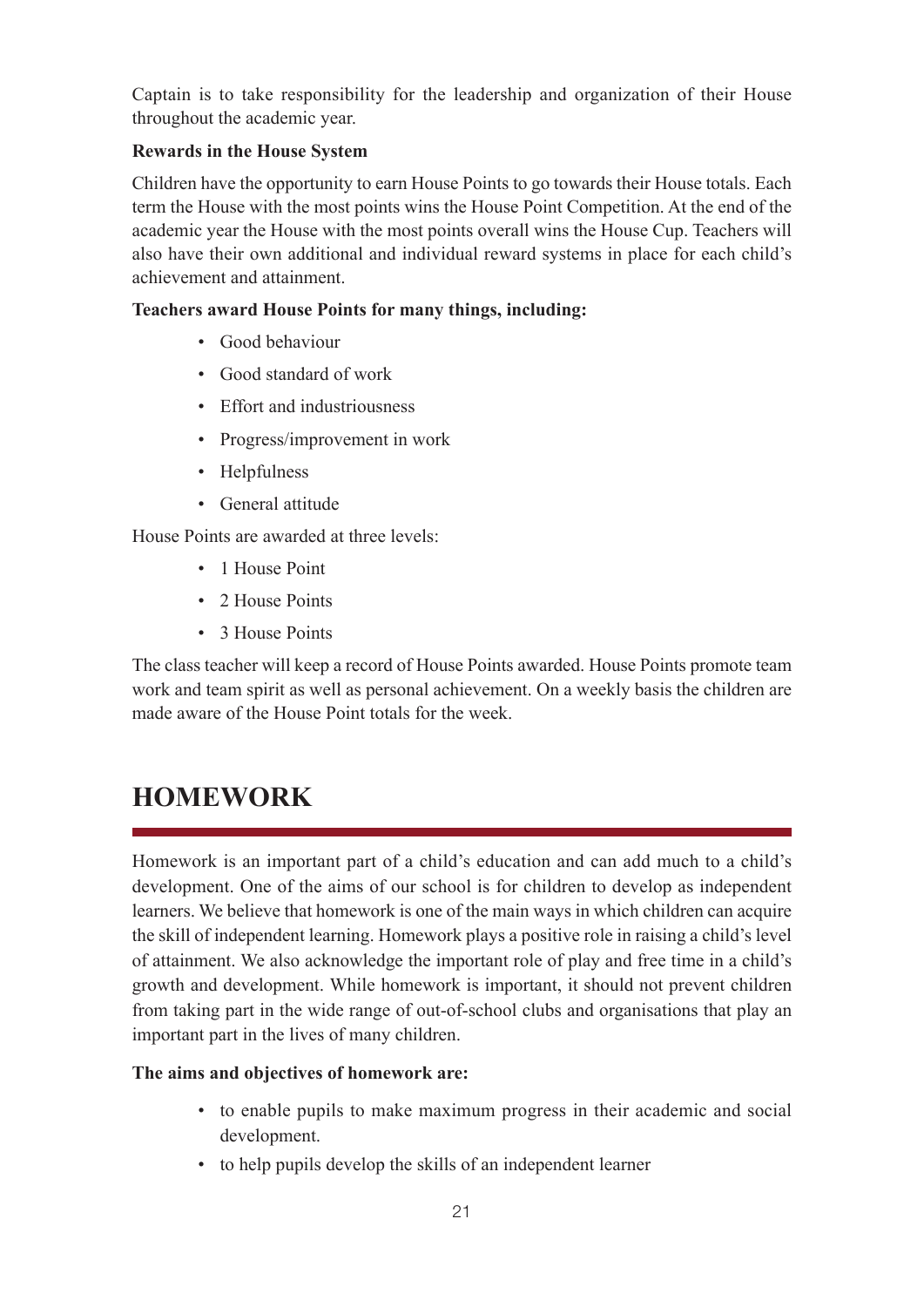Captain is to take responsibility for the leadership and organization of their House throughout the academic year.

#### **Rewards in the House System**

Children have the opportunity to earn House Points to go towards their House totals. Each term the House with the most points wins the House Point Competition. At the end of the academic year the House with the most points overall wins the House Cup. Teachers will also have their own additional and individual reward systems in place for each child's achievement and attainment.

#### **Teachers award House Points for many things, including:**

- Good behaviour
- Good standard of work
- Effort and industriousness
- Progress/improvement in work
- Helpfulness
- General attitude

House Points are awarded at three levels:

- 1 House Point
- 2 House Points
- 3 House Points

The class teacher will keep a record of House Points awarded. House Points promote team work and team spirit as well as personal achievement. On a weekly basis the children are made aware of the House Point totals for the week.

## **HOMEWORK**

Homework is an important part of a child's education and can add much to a child's development. One of the aims of our school is for children to develop as independent learners. We believe that homework is one of the main ways in which children can acquire the skill of independent learning. Homework plays a positive role in raising a child's level of attainment. We also acknowledge the important role of play and free time in a child's growth and development. While homework is important, it should not prevent children from taking part in the wide range of out-of-school clubs and organisations that play an important part in the lives of many children.

#### **The aims and objectives of homework are:**

- to enable pupils to make maximum progress in their academic and social development.
- to help pupils develop the skills of an independent learner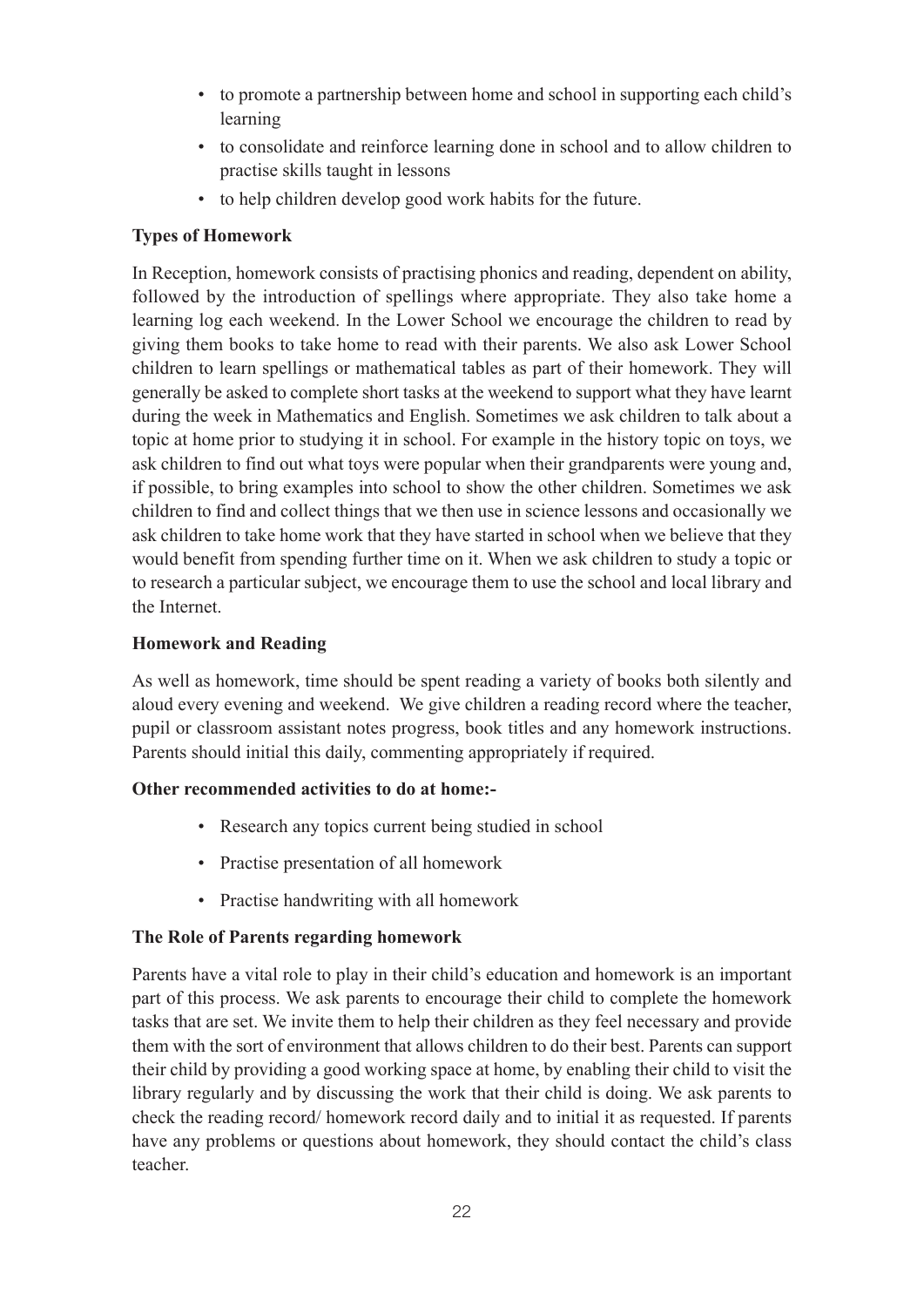- to promote a partnership between home and school in supporting each child's learning
- to consolidate and reinforce learning done in school and to allow children to practise skills taught in lessons
- to help children develop good work habits for the future.

#### **Types of Homework**

In Reception, homework consists of practising phonics and reading, dependent on ability, followed by the introduction of spellings where appropriate. They also take home a learning log each weekend. In the Lower School we encourage the children to read by giving them books to take home to read with their parents. We also ask Lower School children to learn spellings or mathematical tables as part of their homework. They will generally be asked to complete short tasks at the weekend to support what they have learnt during the week in Mathematics and English. Sometimes we ask children to talk about a topic at home prior to studying it in school. For example in the history topic on toys, we ask children to find out what toys were popular when their grandparents were young and, if possible, to bring examples into school to show the other children. Sometimes we ask children to find and collect things that we then use in science lessons and occasionally we ask children to take home work that they have started in school when we believe that they would benefit from spending further time on it. When we ask children to study a topic or to research a particular subject, we encourage them to use the school and local library and the Internet.

#### **Homework and Reading**

As well as homework, time should be spent reading a variety of books both silently and aloud every evening and weekend. We give children a reading record where the teacher, pupil or classroom assistant notes progress, book titles and any homework instructions. Parents should initial this daily, commenting appropriately if required.

#### **Other recommended activities to do at home:-**

- Research any topics current being studied in school
- Practise presentation of all homework
- Practise handwriting with all homework

#### **The Role of Parents regarding homework**

Parents have a vital role to play in their child's education and homework is an important part of this process. We ask parents to encourage their child to complete the homework tasks that are set. We invite them to help their children as they feel necessary and provide them with the sort of environment that allows children to do their best. Parents can support their child by providing a good working space at home, by enabling their child to visit the library regularly and by discussing the work that their child is doing. We ask parents to check the reading record/ homework record daily and to initial it as requested. If parents have any problems or questions about homework, they should contact the child's class teacher.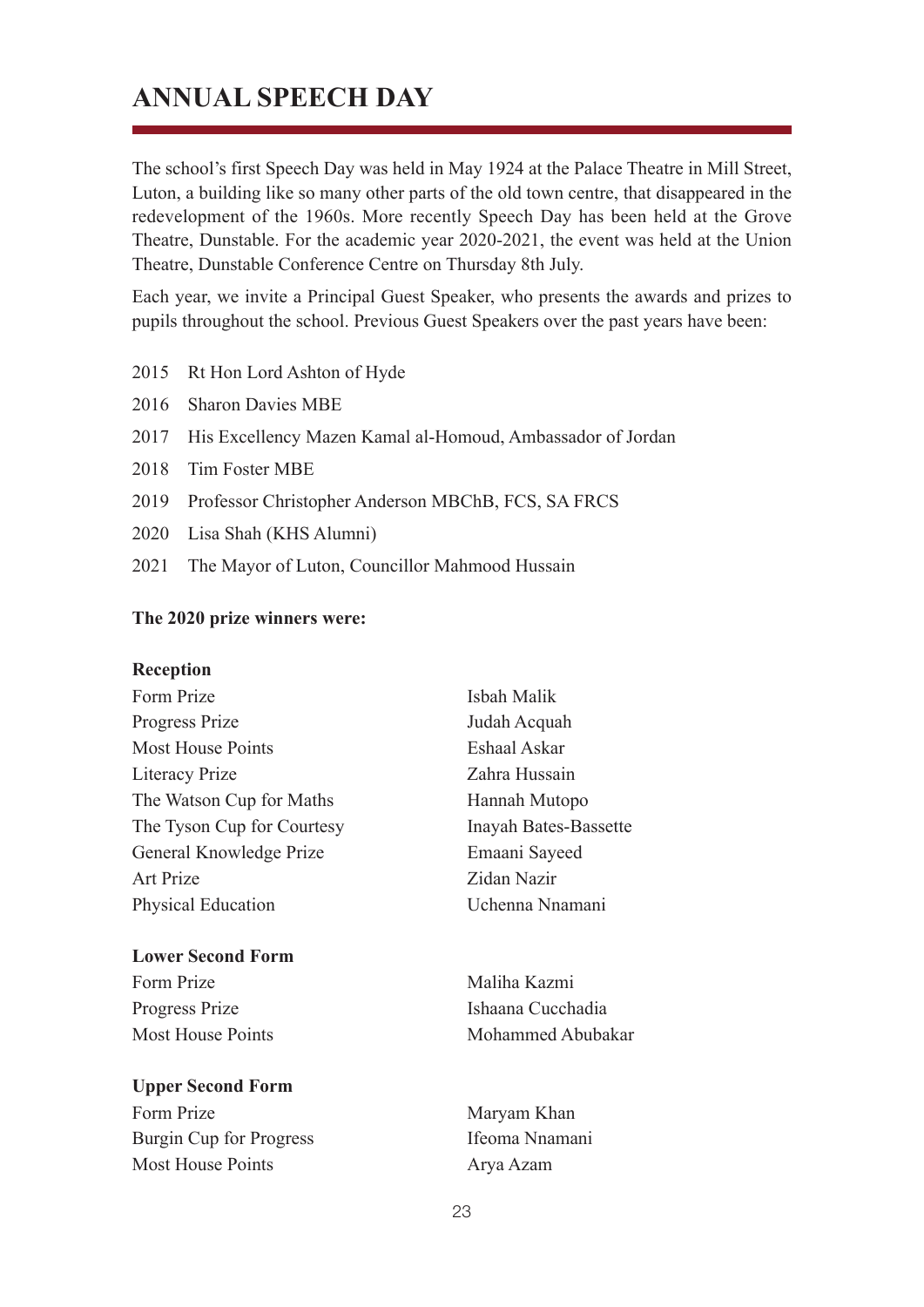## **ANNUAL SPEECH DAY**

The school's first Speech Day was held in May 1924 at the Palace Theatre in Mill Street, Luton, a building like so many other parts of the old town centre, that disappeared in the redevelopment of the 1960s. More recently Speech Day has been held at the Grove Theatre, Dunstable. For the academic year 2020-2021, the event was held at the Union Theatre, Dunstable Conference Centre on Thursday 8th July.

Each year, we invite a Principal Guest Speaker, who presents the awards and prizes to pupils throughout the school. Previous Guest Speakers over the past years have been:

- 2015 Rt Hon Lord Ashton of Hyde
- 2016 Sharon Davies MBE
- 2017 His Excellency Mazen Kamal al-Homoud, Ambassador of Jordan
- 2018 Tim Foster MBE
- 2019 Professor Christopher Anderson MBChB, FCS, SA FRCS
- 2020 Lisa Shah (KHS Alumni)
- 2021 The Mayor of Luton, Councillor Mahmood Hussain

#### **The 2020 prize winners were:**

#### **Reception**

| Form Prize                     | Isbah Malik           |
|--------------------------------|-----------------------|
| Progress Prize                 | Judah Acquah          |
| <b>Most House Points</b>       | Eshaal Askar          |
| Literacy Prize                 | Zahra Hussain         |
| The Watson Cup for Maths       | Hannah Mutopo         |
| The Tyson Cup for Courtesy     | Inayah Bates-Bassette |
| General Knowledge Prize        | Emaani Sayeed         |
| <b>Art Prize</b>               | Zidan Nazir           |
| <b>Physical Education</b>      | Uchenna Nnamani       |
| <b>Lower Second Form</b>       |                       |
| Form Prize                     | Maliha Kazmi          |
| Progress Prize                 | Ishaana Cucchadia     |
| <b>Most House Points</b>       | Mohammed Abubakar     |
| <b>Upper Second Form</b>       |                       |
| Form Prize                     | Maryam Khan           |
| <b>Burgin Cup for Progress</b> | Ifeoma Nnamani        |
| <b>Most House Points</b>       | Arya Azam             |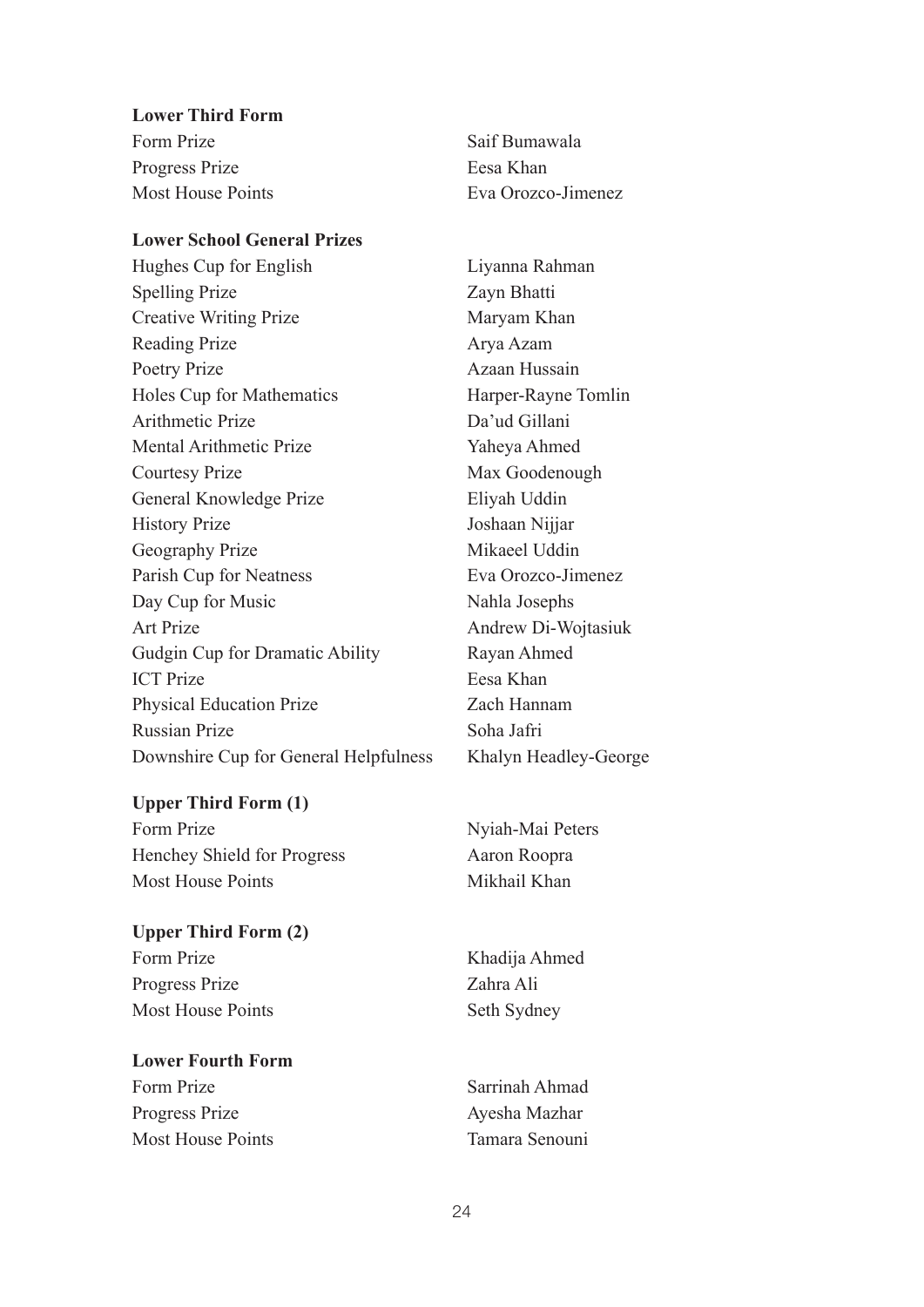**Lower Third Form** Form Prize Saif Bumawala Progress Prize Eesa Khan

#### **Lower School General Prizes**

Hughes Cup for English Liyanna Rahman Spelling Prize Zayn Bhatti Creative Writing Prize Maryam Khan Reading Prize Arya Azam Poetry Prize Azaan Hussain Holes Cup for Mathematics Harper-Rayne Tomlin Arithmetic Prize Da'ud Gillani Mental Arithmetic Prize Yaheya Ahmed Courtesy Prize Max Goodenough General Knowledge Prize Eliyah Uddin History Prize Joshaan Nijjar Geography Prize Mikaeel Uddin Parish Cup for Neatness Eva Orozco-Jimenez Day Cup for Music Nahla Josephs Art Prize Andrew Di-Wojtasiuk Gudgin Cup for Dramatic Ability Rayan Ahmed ICT Prize Eesa Khan Physical Education Prize Zach Hannam Russian Prize Soha Jafri Downshire Cup for General Helpfulness Khalyn Headley-George

#### **Upper Third Form (1)**

Form Prize Nyiah-Mai Peters Henchey Shield for Progress Aaron Roopra Most House Points Mikhail Khan

#### **Upper Third Form (2)**

Form Prize Khadija Ahmed Progress Prize Zahra Ali Most House Points Seth Sydney

#### **Lower Fourth Form** Form Prize Sarrinah Ahmad Progress Prize Ayesha Mazhar

Most House Points **Tamara Senouni** 

Most House Points **Eva Orozco-Jimenez**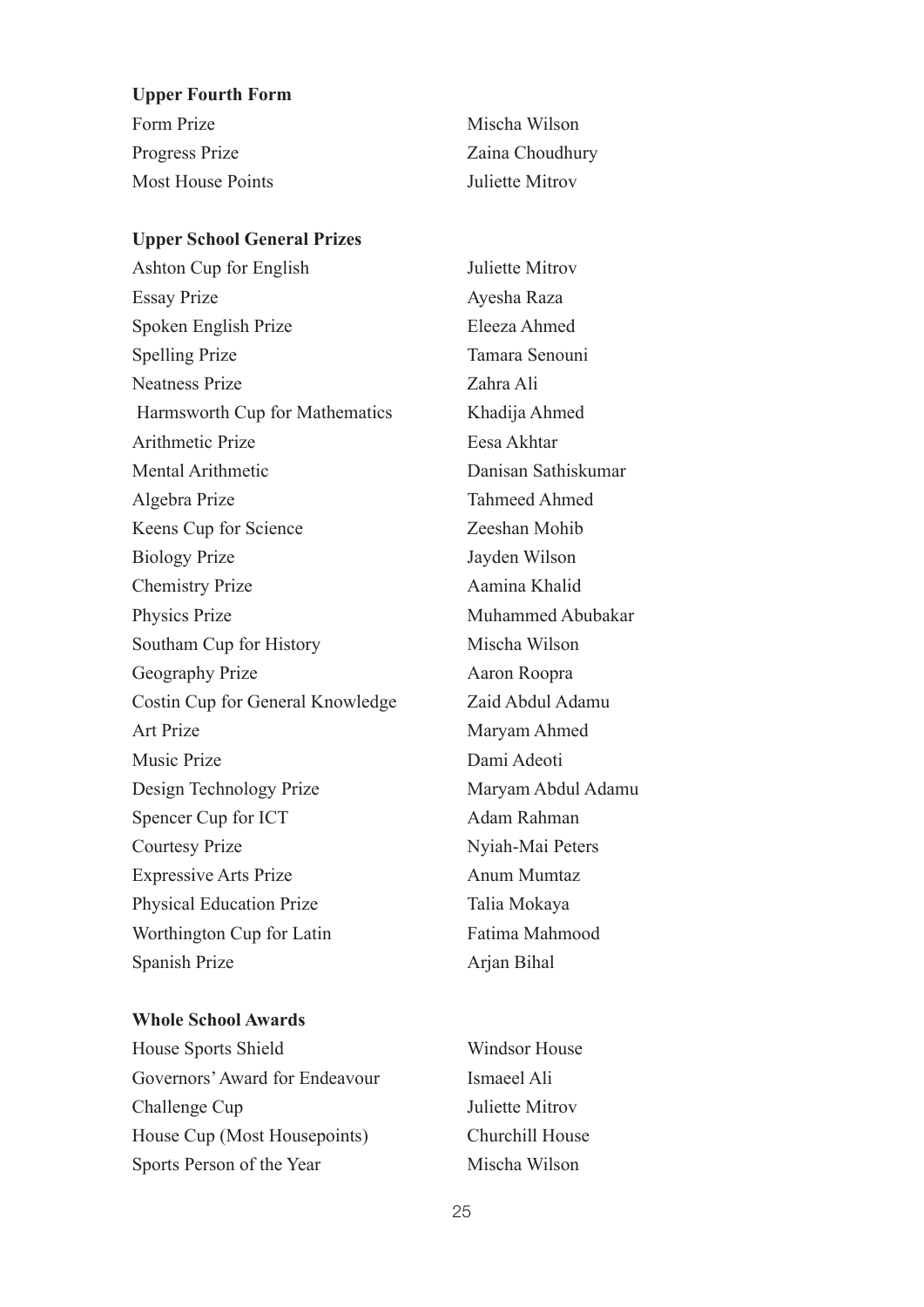#### **Upper Fourth Form**

| Form Prize               | Mischa Wilson   |
|--------------------------|-----------------|
| Progress Prize           | Zaina Choudhury |
| <b>Most House Points</b> | Juliette Mitrov |

#### **Upper School General Prizes**

Ashton Cup for English Juliette Mitrov Essay Prize Ayesha Raza Spoken English Prize Eleeza Ahmed Spelling Prize Tamara Senouni Neatness Prize Zahra Ali Harmsworth Cup for Mathematics Khadija Ahmed Arithmetic Prize Eesa Akhtar Mental Arithmetic Danisan Sathiskumar Algebra Prize Tahmeed Ahmed Keens Cup for Science Zeeshan Mohib Biology Prize Jayden Wilson Chemistry Prize Aamina Khalid Physics Prize Muhammed Abubakar Southam Cup for History Mischa Wilson Geography Prize Aaron Roopra Costin Cup for General Knowledge Zaid Abdul Adamu Art Prize Maryam Ahmed Music Prize Dami Adeoti Design Technology Prize Maryam Abdul Adamu Spencer Cup for ICT Adam Rahman Courtesy Prize Nyiah-Mai Peters Expressive Arts Prize Anum Mumtaz Physical Education Prize Talia Mokaya Worthington Cup for Latin Fatima Mahmood Spanish Prize Arjan Bihal

#### **Whole School Awards**

House Sports Shield Windsor House Governors' Award for Endeavour Ismaeel Ali Challenge Cup Juliette Mitrov House Cup (Most Housepoints) Churchill House Sports Person of the Year Mischa Wilson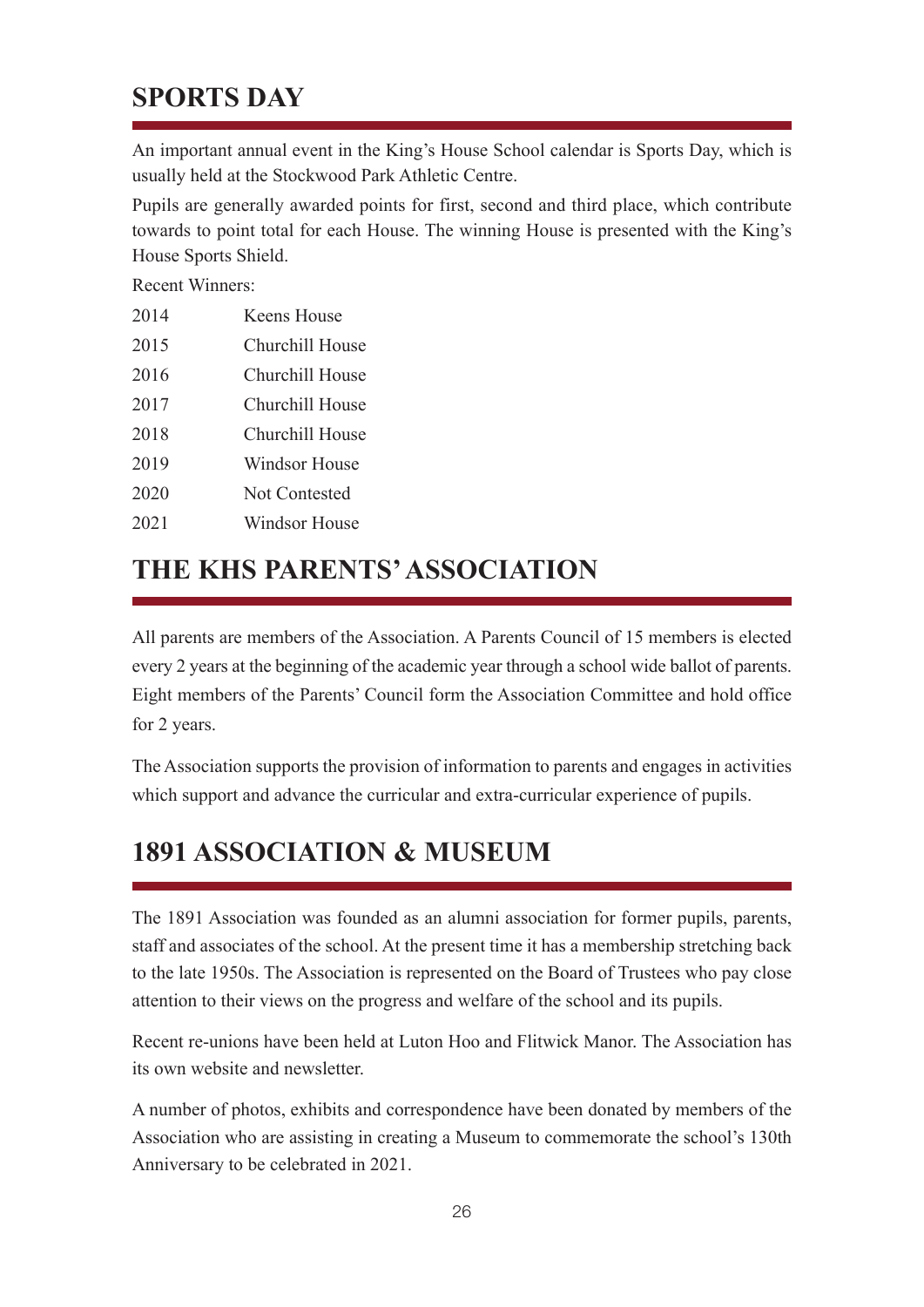## **SPORTS DAY**

An important annual event in the King's House School calendar is Sports Day, which is usually held at the Stockwood Park Athletic Centre.

Pupils are generally awarded points for first, second and third place, which contribute towards to point total for each House. The winning House is presented with the King's House Sports Shield.

Recent Winners:

| 2014                 | Keens House |
|----------------------|-------------|
| $\sim$ $\sim$ $\sim$ |             |

- 2015 Churchill House 2016 Churchill House
- 2017 Churchill House
- 2018 Churchill House
- 
- 2019 Windsor House
- 2020 Not Contested
- 2021 Windsor House

## **THE KHS PARENTS' ASSOCIATION**

All parents are members of the Association. A Parents Council of 15 members is elected every 2 years at the beginning of the academic year through a school wide ballot of parents. Eight members of the Parents' Council form the Association Committee and hold office for 2 years.

The Association supports the provision of information to parents and engages in activities which support and advance the curricular and extra-curricular experience of pupils.

## **1891 ASSOCIATION & MUSEUM**

The 1891 Association was founded as an alumni association for former pupils, parents, staff and associates of the school. At the present time it has a membership stretching back to the late 1950s. The Association is represented on the Board of Trustees who pay close attention to their views on the progress and welfare of the school and its pupils.

Recent re-unions have been held at Luton Hoo and Flitwick Manor. The Association has its own website and newsletter.

A number of photos, exhibits and correspondence have been donated by members of the Association who are assisting in creating a Museum to commemorate the school's 130th Anniversary to be celebrated in 2021.